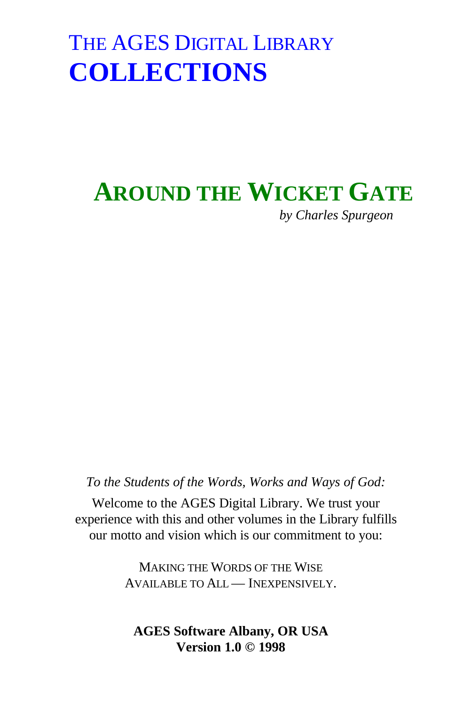# **AROUND THE WICKET GATE**

*by Charles Spurgeon*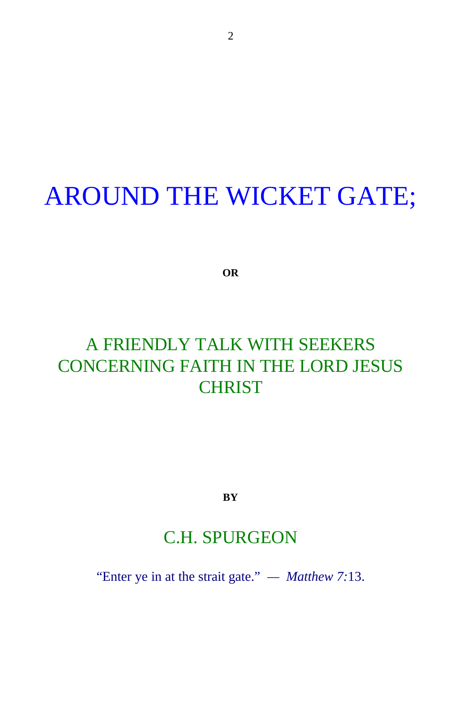#### AROUND THE WICKET GATE;

**OR**

#### A FRIENDLY TALK WITH SEEKERS CONCERNING FAITH IN THE LORD JESUS **CHRIST**

**BY**

#### C.H. SPURGEON

"Enter ye in at the strait gate." *— Matthew 7:*13.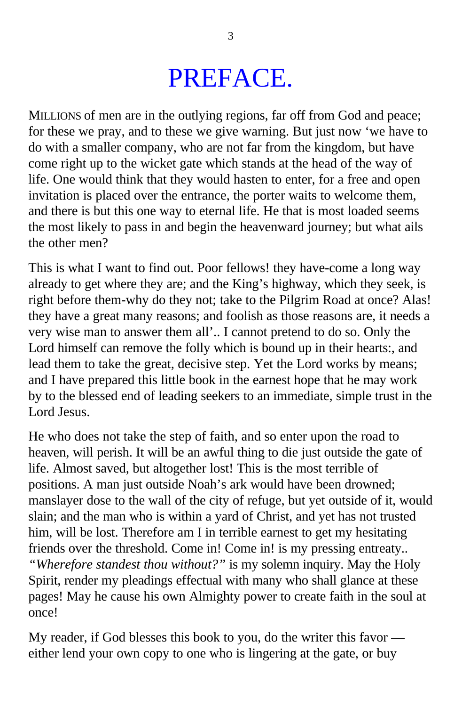### PREFACE.

MILLIONS of men are in the outlying regions, far off from God and peace; for these we pray, and to these we give warning. But just now 'we have to do with a smaller company, who are not far from the kingdom, but have come right up to the wicket gate which stands at the head of the way of life. One would think that they would hasten to enter, for a free and open invitation is placed over the entrance, the porter waits to welcome them, and there is but this one way to eternal life. He that is most loaded seems the most likely to pass in and begin the heavenward journey; but what ails the other men?

This is what I want to find out. Poor fellows! they have-come a long way already to get where they are; and the King's highway, which they seek, is right before them-why do they not; take to the Pilgrim Road at once? Alas! they have a great many reasons; and foolish as those reasons are, it needs a very wise man to answer them all'.. I cannot pretend to do so. Only the Lord himself can remove the folly which is bound up in their hearts:, and lead them to take the great, decisive step. Yet the Lord works by means; and I have prepared this little book in the earnest hope that he may work by to the blessed end of leading seekers to an immediate, simple trust in the Lord Jesus.

He who does not take the step of faith, and so enter upon the road to heaven, will perish. It will be an awful thing to die just outside the gate of life. Almost saved, but altogether lost! This is the most terrible of positions. A man just outside Noah's ark would have been drowned; manslayer dose to the wall of the city of refuge, but yet outside of it, would slain; and the man who is within a yard of Christ, and yet has not trusted him, will be lost. Therefore am I in terrible earnest to get my hesitating friends over the threshold. Come in! Come in! is my pressing entreaty.. *"Wherefore standest thou without?"* is my solemn inquiry. May the Holy Spirit, render my pleadings effectual with many who shall glance at these pages! May he cause his own Almighty power to create faith in the soul at once!

My reader, if God blesses this book to you, do the writer this favor either lend your own copy to one who is lingering at the gate, or buy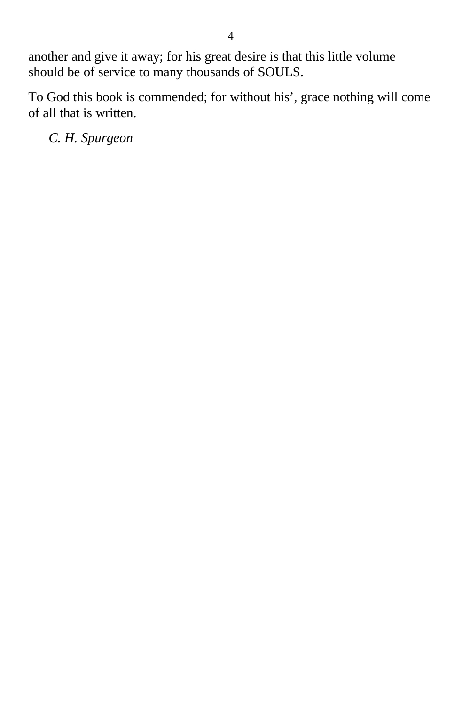another and give it away; for his great desire is that this little volume should be of service to many thousands of SOULS.

To God this book is commended; for without his', grace nothing will come of all that is written.

*C. H. Spurgeon*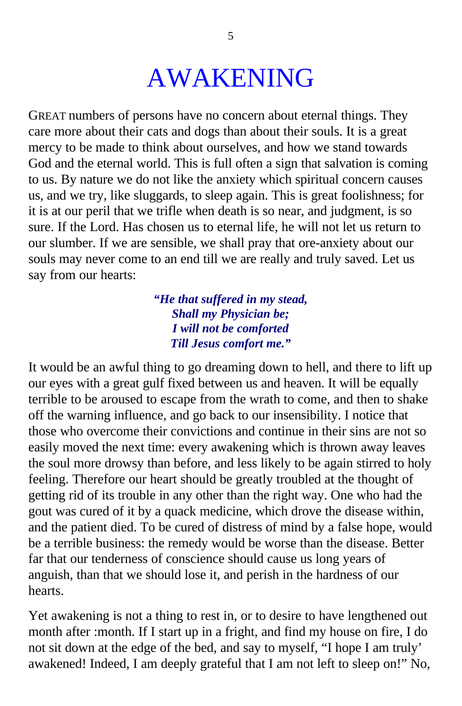#### AWAKENING

GREAT numbers of persons have no concern about eternal things. They care more about their cats and dogs than about their souls. It is a great mercy to be made to think about ourselves, and how we stand towards God and the eternal world. This is full often a sign that salvation is coming to us. By nature we do not like the anxiety which spiritual concern causes us, and we try, like sluggards, to sleep again. This is great foolishness; for it is at our peril that we trifle when death is so near, and judgment, is so sure. If the Lord. Has chosen us to eternal life, he will not let us return to our slumber. If we are sensible, we shall pray that ore-anxiety about our souls may never come to an end till we are really and truly saved. Let us say from our hearts:

#### *"He that suffered in my stead, Shall my Physician be; I will not be comforted Till Jesus comfort me."*

It would be an awful thing to go dreaming down to hell, and there to lift up our eyes with a great gulf fixed between us and heaven. It will be equally terrible to be aroused to escape from the wrath to come, and then to shake off the warning influence, and go back to our insensibility. I notice that those who overcome their convictions and continue in their sins are not so easily moved the next time: every awakening which is thrown away leaves the soul more drowsy than before, and less likely to be again stirred to holy feeling. Therefore our heart should be greatly troubled at the thought of getting rid of its trouble in any other than the right way. One who had the gout was cured of it by a quack medicine, which drove the disease within, and the patient died. To be cured of distress of mind by a false hope, would be a terrible business: the remedy would be worse than the disease. Better far that our tenderness of conscience should cause us long years of anguish, than that we should lose it, and perish in the hardness of our hearts.

Yet awakening is not a thing to rest in, or to desire to have lengthened out month after :month. If I start up in a fright, and find my house on fire, I do not sit down at the edge of the bed, and say to myself, "I hope I am truly' awakened! Indeed, I am deeply grateful that I am not left to sleep on!" No,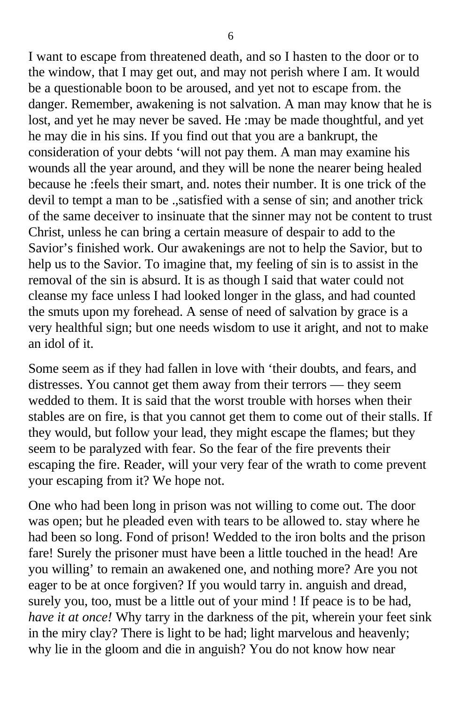I want to escape from threatened death, and so I hasten to the door or to the window, that I may get out, and may not perish where I am. It would be a questionable boon to be aroused, and yet not to escape from. the danger. Remember, awakening is not salvation. A man may know that he is lost, and yet he may never be saved. He :may be made thoughtful, and yet he may die in his sins. If you find out that you are a bankrupt, the consideration of your debts 'will not pay them. A man may examine his wounds all the year around, and they will be none the nearer being healed because he :feels their smart, and. notes their number. It is one trick of the devil to tempt a man to be .,satisfied with a sense of sin; and another trick of the same deceiver to insinuate that the sinner may not be content to trust Christ, unless he can bring a certain measure of despair to add to the Savior's finished work. Our awakenings are not to help the Savior, but to help us to the Savior. To imagine that, my feeling of sin is to assist in the removal of the sin is absurd. It is as though I said that water could not cleanse my face unless I had looked longer in the glass, and had counted the smuts upon my forehead. A sense of need of salvation by grace is a very healthful sign; but one needs wisdom to use it aright, and not to make an idol of it.

Some seem as if they had fallen in love with 'their doubts, and fears, and distresses. You cannot get them away from their terrors — they seem wedded to them. It is said that the worst trouble with horses when their stables are on fire, is that you cannot get them to come out of their stalls. If they would, but follow your lead, they might escape the flames; but they seem to be paralyzed with fear. So the fear of the fire prevents their escaping the fire. Reader, will your very fear of the wrath to come prevent your escaping from it? We hope not.

One who had been long in prison was not willing to come out. The door was open; but he pleaded even with tears to be allowed to. stay where he had been so long. Fond of prison! Wedded to the iron bolts and the prison fare! Surely the prisoner must have been a little touched in the head! Are you willing' to remain an awakened one, and nothing more? Are you not eager to be at once forgiven? If you would tarry in. anguish and dread, surely you, too, must be a little out of your mind ! If peace is to be had, *have it at once!* Why tarry in the darkness of the pit, wherein your feet sink in the miry clay? There is light to be had; light marvelous and heavenly; why lie in the gloom and die in anguish? You do not know how near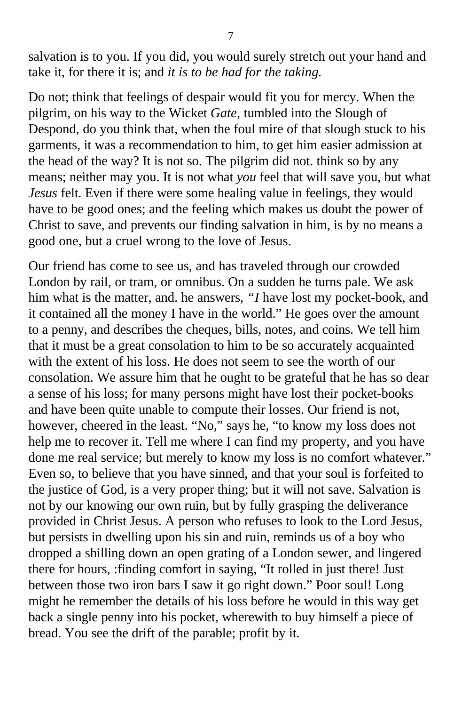salvation is to you. If you did, you would surely stretch out your hand and take it, for there it is; and *it is to be had for the taking.*

Do not; think that feelings of despair would fit you for mercy. When the pilgrim, on his way to the Wicket *Gate,* tumbled into the Slough of Despond, do you think that, when the foul mire of that slough stuck to his garments, it was a recommendation to him, to get him easier admission at the head of the way? It is not so. The pilgrim did not. think so by any means; neither may you. It is not what *you* feel that will save you, but what *Jesus* felt. Even if there were some healing value in feelings, they would have to be good ones; and the feeling which makes us doubt the power of Christ to save, and prevents our finding salvation in him, is by no means a good one, but a cruel wrong to the love of Jesus.

Our friend has come to see us, and has traveled through our crowded London by rail, or tram, or omnibus. On a sudden he turns pale. We ask him what is the matter, and. he answers, *"I* have lost my pocket-book, and it contained all the money I have in the world." He goes over the amount to a penny, and describes the cheques, bills, notes, and coins. We tell him that it must be a great consolation to him to be so accurately acquainted with the extent of his loss. He does not seem to see the worth of our consolation. We assure him that he ought to be grateful that he has so dear a sense of his loss; for many persons might have lost their pocket-books and have been quite unable to compute their losses. Our friend is not, however, cheered in the least. "No," says he, "to know my loss does not help me to recover it. Tell me where I can find my property, and you have done me real service; but merely to know my loss is no comfort whatever." Even so, to believe that you have sinned, and that your soul is forfeited to the justice of God, is a very proper thing; but it will not save. Salvation is not by our knowing our own ruin, but by fully grasping the deliverance provided in Christ Jesus. A person who refuses to look to the Lord Jesus, but persists in dwelling upon his sin and ruin, reminds us of a boy who dropped a shilling down an open grating of a London sewer, and lingered there for hours, :finding comfort in saying, "It rolled in just there! Just between those two iron bars I saw it go right down." Poor soul! Long might he remember the details of his loss before he would in this way get back a single penny into his pocket, wherewith to buy himself a piece of bread. You see the drift of the parable; profit by it.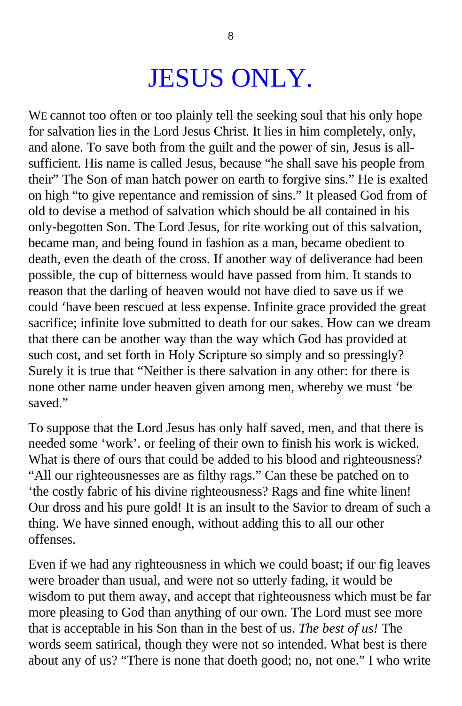### JESUS ONLY.

WE cannot too often or too plainly tell the seeking soul that his only hope for salvation lies in the Lord Jesus Christ. It lies in him completely, only, and alone. To save both from the guilt and the power of sin, Jesus is allsufficient. His name is called Jesus, because "he shall save his people from their" The Son of man hatch power on earth to forgive sins." He is exalted on high "to give repentance and remission of sins." It pleased God from of old to devise a method of salvation which should be all contained in his only-begotten Son. The Lord Jesus, for rite working out of this salvation, became man, and being found in fashion as a man, became obedient to death, even the death of the cross. If another way of deliverance had been possible, the cup of bitterness would have passed from him. It stands to reason that the darling of heaven would not have died to save us if we could 'have been rescued at less expense. Infinite grace provided the great sacrifice; infinite love submitted to death for our sakes. How can we dream that there can be another way than the way which God has provided at such cost, and set forth in Holy Scripture so simply and so pressingly? Surely it is true that "Neither is there salvation in any other: for there is none other name under heaven given among men, whereby we must 'be saved."

To suppose that the Lord Jesus has only half saved, men, and that there is needed some 'work'. or feeling of their own to finish his work is wicked. What is there of ours that could be added to his blood and righteousness? "All our righteousnesses are as filthy rags." Can these be patched on to 'the costly fabric of his divine righteousness? Rags and fine white linen! Our dross and his pure gold! It is an insult to the Savior to dream of such a thing. We have sinned enough, without adding this to all our other offenses.

Even if we had any righteousness in which we could boast; if our fig leaves were broader than usual, and were not so utterly fading, it would be wisdom to put them away, and accept that righteousness which must be far more pleasing to God than anything of our own. The Lord must see more that is acceptable in his Son than in the best of us. *The best of us!* The words seem satirical, though they were not so intended. What best is there about any of us? "There is none that doeth good; no, not one." I who write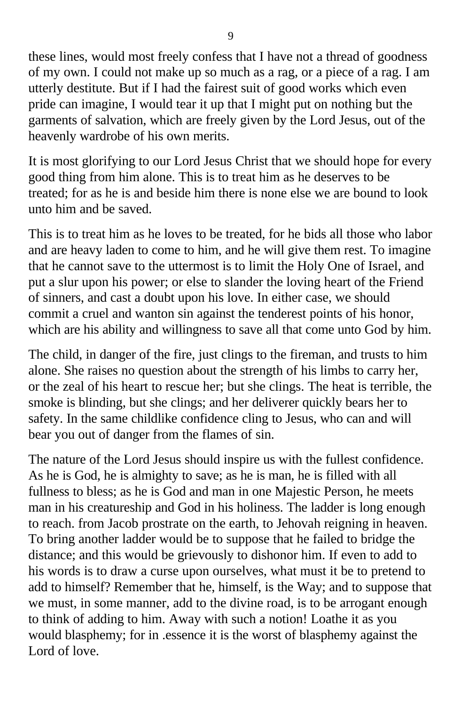these lines, would most freely confess that I have not a thread of goodness of my own. I could not make up so much as a rag, or a piece of a rag. I am utterly destitute. But if I had the fairest suit of good works which even pride can imagine, I would tear it up that I might put on nothing but the garments of salvation, which are freely given by the Lord Jesus, out of the heavenly wardrobe of his own merits.

It is most glorifying to our Lord Jesus Christ that we should hope for every good thing from him alone. This is to treat him as he deserves to be treated; for as he is and beside him there is none else we are bound to look unto him and be saved.

This is to treat him as he loves to be treated, for he bids all those who labor and are heavy laden to come to him, and he will give them rest. To imagine that he cannot save to the uttermost is to limit the Holy One of Israel, and put a slur upon his power; or else to slander the loving heart of the Friend of sinners, and cast a doubt upon his love. In either case, we should commit a cruel and wanton sin against the tenderest points of his honor, which are his ability and willingness to save all that come unto God by him.

The child, in danger of the fire, just clings to the fireman, and trusts to him alone. She raises no question about the strength of his limbs to carry her, or the zeal of his heart to rescue her; but she clings. The heat is terrible, the smoke is blinding, but she clings; and her deliverer quickly bears her to safety. In the same childlike confidence cling to Jesus, who can and will bear you out of danger from the flames of sin.

The nature of the Lord Jesus should inspire us with the fullest confidence. As he is God, he is almighty to save; as he is man, he is filled with all fullness to bless; as he is God and man in one Majestic Person, he meets man in his creatureship and God in his holiness. The ladder is long enough to reach. from Jacob prostrate on the earth, to Jehovah reigning in heaven. To bring another ladder would be to suppose that he failed to bridge the distance; and this would be grievously to dishonor him. If even to add to his words is to draw a curse upon ourselves, what must it be to pretend to add to himself? Remember that he, himself, is the Way; and to suppose that we must, in some manner, add to the divine road, is to be arrogant enough to think of adding to him. Away with such a notion! Loathe it as you would blasphemy; for in .essence it is the worst of blasphemy against the Lord of love.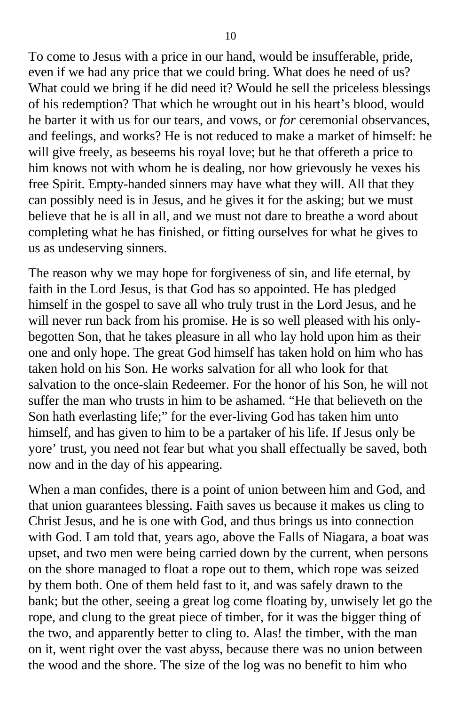To come to Jesus with a price in our hand, would be insufferable, pride, even if we had any price that we could bring. What does he need of us? What could we bring if he did need it? Would he sell the priceless blessings of his redemption? That which he wrought out in his heart's blood, would he barter it with us for our tears, and vows, or *for* ceremonial observances, and feelings, and works? He is not reduced to make a market of himself: he will give freely, as beseems his royal love; but he that offereth a price to him knows not with whom he is dealing, nor how grievously he vexes his free Spirit. Empty-handed sinners may have what they will. All that they can possibly need is in Jesus, and he gives it for the asking; but we must believe that he is all in all, and we must not dare to breathe a word about completing what he has finished, or fitting ourselves for what he gives to us as undeserving sinners.

The reason why we may hope for forgiveness of sin, and life eternal, by faith in the Lord Jesus, is that God has so appointed. He has pledged himself in the gospel to save all who truly trust in the Lord Jesus, and he will never run back from his promise. He is so well pleased with his onlybegotten Son, that he takes pleasure in all who lay hold upon him as their one and only hope. The great God himself has taken hold on him who has taken hold on his Son. He works salvation for all who look for that salvation to the once-slain Redeemer. For the honor of his Son, he will not suffer the man who trusts in him to be ashamed. "He that believeth on the Son hath everlasting life;" for the ever-living God has taken him unto himself, and has given to him to be a partaker of his life. If Jesus only be yore' trust, you need not fear but what you shall effectually be saved, both now and in the day of his appearing.

When a man confides, there is a point of union between him and God, and that union guarantees blessing. Faith saves us because it makes us cling to Christ Jesus, and he is one with God, and thus brings us into connection with God. I am told that, years ago, above the Falls of Niagara, a boat was upset, and two men were being carried down by the current, when persons on the shore managed to float a rope out to them, which rope was seized by them both. One of them held fast to it, and was safely drawn to the bank; but the other, seeing a great log come floating by, unwisely let go the rope, and clung to the great piece of timber, for it was the bigger thing of the two, and apparently better to cling to. Alas! the timber, with the man on it, went right over the vast abyss, because there was no union between the wood and the shore. The size of the log was no benefit to him who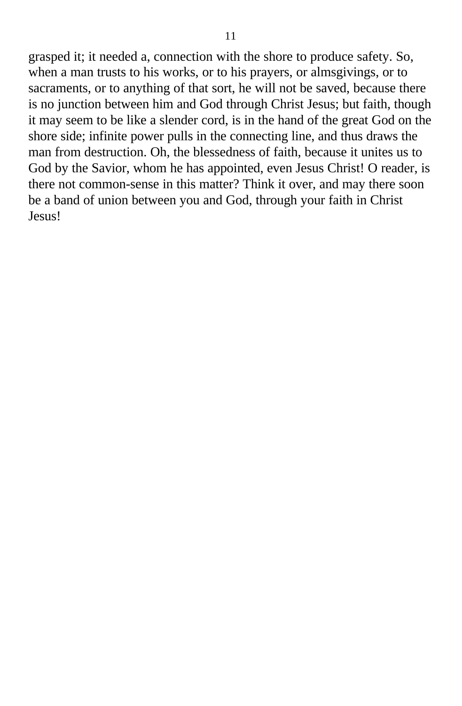grasped it; it needed a, connection with the shore to produce safety. So, when a man trusts to his works, or to his prayers, or almsgivings, or to sacraments, or to anything of that sort, he will not be saved, because there is no junction between him and God through Christ Jesus; but faith, though it may seem to be like a slender cord, is in the hand of the great God on the shore side; infinite power pulls in the connecting line, and thus draws the man from destruction. Oh, the blessedness of faith, because it unites us to God by the Savior, whom he has appointed, even Jesus Christ! O reader, is there not common-sense in this matter? Think it over, and may there soon be a band of union between you and God, through your faith in Christ Jesus!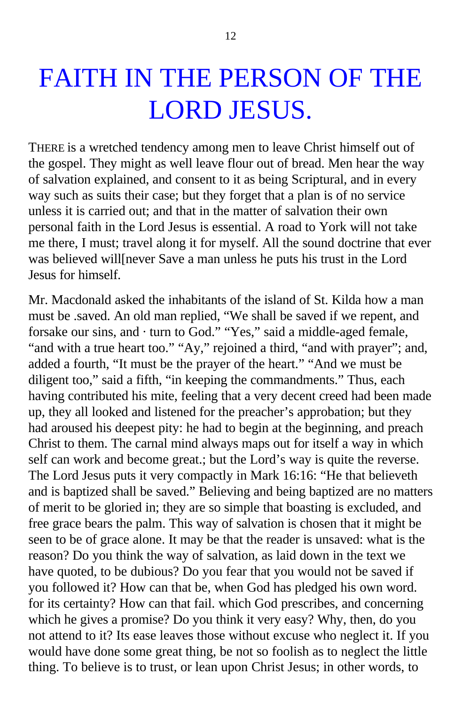### FAITH IN THE PERSON OF THE LORD JESUS.

THERE is a wretched tendency among men to leave Christ himself out of the gospel. They might as well leave flour out of bread. Men hear the way of salvation explained, and consent to it as being Scriptural, and in every way such as suits their case; but they forget that a plan is of no service unless it is carried out; and that in the matter of salvation their own personal faith in the Lord Jesus is essential. A road to York will not take me there, I must; travel along it for myself. All the sound doctrine that ever was believed will[never Save a man unless he puts his trust in the Lord Jesus for himself.

Mr. Macdonald asked the inhabitants of the island of St. Kilda how a man must be .saved. An old man replied, "We shall be saved if we repent, and forsake our sins, and · turn to God." "Yes," said a middle-aged female, "and with a true heart too." "Ay," rejoined a third, "and with prayer"; and, added a fourth, "It must be the prayer of the heart." "And we must be diligent too," said a fifth, "in keeping the commandments." Thus, each having contributed his mite, feeling that a very decent creed had been made up, they all looked and listened for the preacher's approbation; but they had aroused his deepest pity: he had to begin at the beginning, and preach Christ to them. The carnal mind always maps out for itself a way in which self can work and become great.; but the Lord's way is quite the reverse. The Lord Jesus puts it very compactly in Mark 16:16: "He that believeth and is baptized shall be saved." Believing and being baptized are no matters of merit to be gloried in; they are so simple that boasting is excluded, and free grace bears the palm. This way of salvation is chosen that it might be seen to be of grace alone. It may be that the reader is unsaved: what is the reason? Do you think the way of salvation, as laid down in the text we have quoted, to be dubious? Do you fear that you would not be saved if you followed it? How can that be, when God has pledged his own word. for its certainty? How can that fail. which God prescribes, and concerning which he gives a promise? Do you think it very easy? Why, then, do you not attend to it? Its ease leaves those without excuse who neglect it. If you would have done some great thing, be not so foolish as to neglect the little thing. To believe is to trust, or lean upon Christ Jesus; in other words, to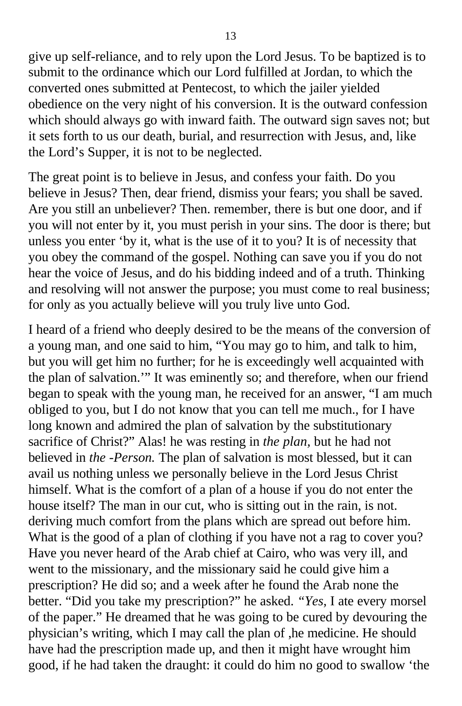give up self-reliance, and to rely upon the Lord Jesus. To be baptized is to submit to the ordinance which our Lord fulfilled at Jordan, to which the converted ones submitted at Pentecost, to which the jailer yielded obedience on the very night of his conversion. It is the outward confession which should always go with inward faith. The outward sign saves not; but it sets forth to us our death, burial, and resurrection with Jesus, and, like the Lord's Supper, it is not to be neglected.

The great point is to believe in Jesus, and confess your faith. Do you believe in Jesus? Then, dear friend, dismiss your fears; you shall be saved. Are you still an unbeliever? Then. remember, there is but one door, and if you will not enter by it, you must perish in your sins. The door is there; but unless you enter 'by it, what is the use of it to you? It is of necessity that you obey the command of the gospel. Nothing can save you if you do not hear the voice of Jesus, and do his bidding indeed and of a truth. Thinking and resolving will not answer the purpose; you must come to real business; for only as you actually believe will you truly live unto God.

I heard of a friend who deeply desired to be the means of the conversion of a young man, and one said to him, "You may go to him, and talk to him, but you will get him no further; for he is exceedingly well acquainted with the plan of salvation.'" It was eminently so; and therefore, when our friend began to speak with the young man, he received for an answer, "I am much obliged to you, but I do not know that you can tell me much., for I have long known and admired the plan of salvation by the substitutionary sacrifice of Christ?" Alas! he was resting in *the plan,* but he had not believed in *the -Person.* The plan of salvation is most blessed, but it can avail us nothing unless we personally believe in the Lord Jesus Christ himself. What is the comfort of a plan of a house if you do not enter the house itself? The man in our cut, who is sitting out in the rain, is not. deriving much comfort from the plans which are spread out before him. What is the good of a plan of clothing if you have not a rag to cover you? Have you never heard of the Arab chief at Cairo, who was very ill, and went to the missionary, and the missionary said he could give him a prescription? He did so; and a week after he found the Arab none the better. "Did you take my prescription?" he asked. *"Yes,* I ate every morsel of the paper." He dreamed that he was going to be cured by devouring the physician's writing, which I may call the plan of ,he medicine. He should have had the prescription made up, and then it might have wrought him good, if he had taken the draught: it could do him no good to swallow 'the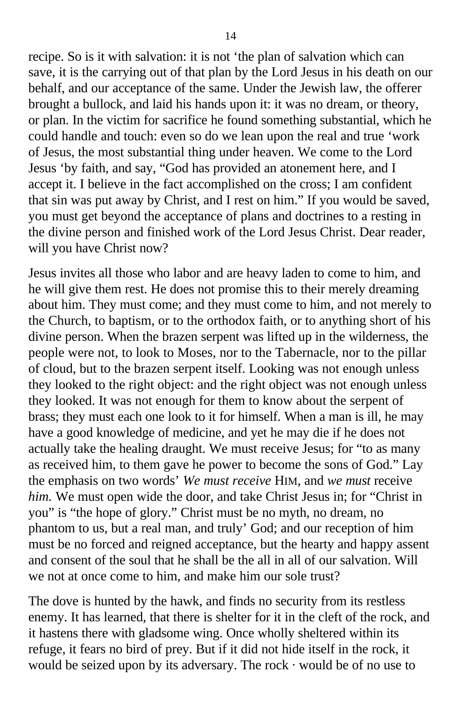recipe. So is it with salvation: it is not 'the plan of salvation which can save, it is the carrying out of that plan by the Lord Jesus in his death on our behalf, and our acceptance of the same. Under the Jewish law, the offerer brought a bullock, and laid his hands upon it: it was no dream, or theory, or plan. In the victim for sacrifice he found something substantial, which he could handle and touch: even so do we lean upon the real and true 'work of Jesus, the most substantial thing under heaven. We come to the Lord Jesus 'by faith, and say, "God has provided an atonement here, and I accept it. I believe in the fact accomplished on the cross; I am confident that sin was put away by Christ, and I rest on him." If you would be saved, you must get beyond the acceptance of plans and doctrines to a resting in the divine person and finished work of the Lord Jesus Christ. Dear reader, will you have Christ now?

Jesus invites all those who labor and are heavy laden to come to him, and he will give them rest. He does not promise this to their merely dreaming about him. They must come; and they must come to him, and not merely to the Church, to baptism, or to the orthodox faith, or to anything short of his divine person. When the brazen serpent was lifted up in the wilderness, the people were not, to look to Moses, nor to the Tabernacle, nor to the pillar of cloud, but to the brazen serpent itself. Looking was not enough unless they looked to the right object: and the right object was not enough unless they looked. It was not enough for them to know about the serpent of brass; they must each one look to it for himself. When a man is ill, he may have a good knowledge of medicine, and yet he may die if he does not actually take the healing draught. We must receive Jesus; for "to as many as received him, to them gave he power to become the sons of God." Lay the emphasis on two words' *We must receive* HIM, and *we must* receive *him.* We must open wide the door, and take Christ Jesus in; for "Christ in you" is "the hope of glory." Christ must be no myth, no dream, no phantom to us, but a real man, and truly' God; and our reception of him must be no forced and reigned acceptance, but the hearty and happy assent and consent of the soul that he shall be the all in all of our salvation. Will we not at once come to him, and make him our sole trust?

The dove is hunted by the hawk, and finds no security from its restless enemy. It has learned, that there is shelter for it in the cleft of the rock, and it hastens there with gladsome wing. Once wholly sheltered within its refuge, it fears no bird of prey. But if it did not hide itself in the rock, it would be seized upon by its adversary. The rock  $\cdot$  would be of no use to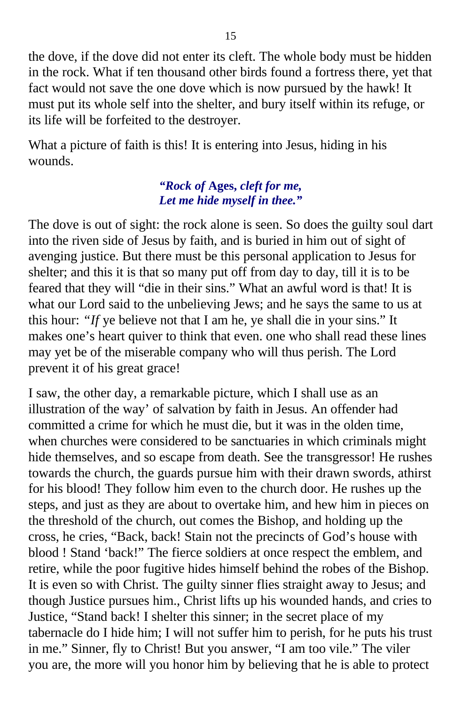the dove, if the dove did not enter its cleft. The whole body must be hidden in the rock. What if ten thousand other birds found a fortress there, yet that fact would not save the one dove which is now pursued by the hawk! It must put its whole self into the shelter, and bury itself within its refuge, or its life will be forfeited to the destroyer.

What a picture of faith is this! It is entering into Jesus, hiding in his wounds.

#### *"Rock of* **Ages,** *cleft for me, Let me hide myself in thee."*

The dove is out of sight: the rock alone is seen. So does the guilty soul dart into the riven side of Jesus by faith, and is buried in him out of sight of avenging justice. But there must be this personal application to Jesus for shelter; and this it is that so many put off from day to day, till it is to be feared that they will "die in their sins." What an awful word is that! It is what our Lord said to the unbelieving Jews; and he says the same to us at this hour: *"If* ye believe not that I am he, ye shall die in your sins." It makes one's heart quiver to think that even. one who shall read these lines may yet be of the miserable company who will thus perish. The Lord prevent it of his great grace!

I saw, the other day, a remarkable picture, which I shall use as an illustration of the way' of salvation by faith in Jesus. An offender had committed a crime for which he must die, but it was in the olden time, when churches were considered to be sanctuaries in which criminals might hide themselves, and so escape from death. See the transgressor! He rushes towards the church, the guards pursue him with their drawn swords, athirst for his blood! They follow him even to the church door. He rushes up the steps, and just as they are about to overtake him, and hew him in pieces on the threshold of the church, out comes the Bishop, and holding up the cross, he cries, "Back, back! Stain not the precincts of God's house with blood ! Stand 'back!" The fierce soldiers at once respect the emblem, and retire, while the poor fugitive hides himself behind the robes of the Bishop. It is even so with Christ. The guilty sinner flies straight away to Jesus; and though Justice pursues him., Christ lifts up his wounded hands, and cries to Justice, "Stand back! I shelter this sinner; in the secret place of my tabernacle do I hide him; I will not suffer him to perish, for he puts his trust in me." Sinner, fly to Christ! But you answer, "I am too vile." The viler you are, the more will you honor him by believing that he is able to protect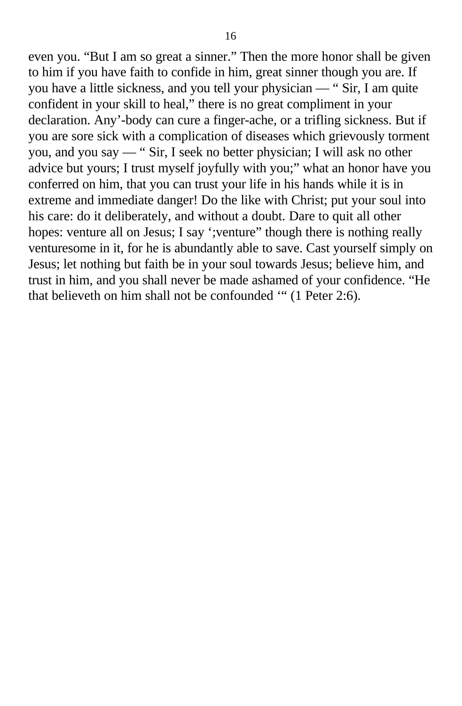even you. "But I am so great a sinner." Then the more honor shall be given to him if you have faith to confide in him, great sinner though you are. If you have a little sickness, and you tell your physician — " Sir, I am quite confident in your skill to heal," there is no great compliment in your declaration. Any'-body can cure a finger-ache, or a trifling sickness. But if you are sore sick with a complication of diseases which grievously torment you, and you say — " Sir, I seek no better physician; I will ask no other advice but yours; I trust myself joyfully with you;" what an honor have you conferred on him, that you can trust your life in his hands while it is in extreme and immediate danger! Do the like with Christ; put your soul into his care: do it deliberately, and without a doubt. Dare to quit all other hopes: venture all on Jesus; I say '; venture'' though there is nothing really venturesome in it, for he is abundantly able to save. Cast yourself simply on Jesus; let nothing but faith be in your soul towards Jesus; believe him, and trust in him, and you shall never be made ashamed of your confidence. "He that believeth on him shall not be confounded '" (1 Peter 2:6).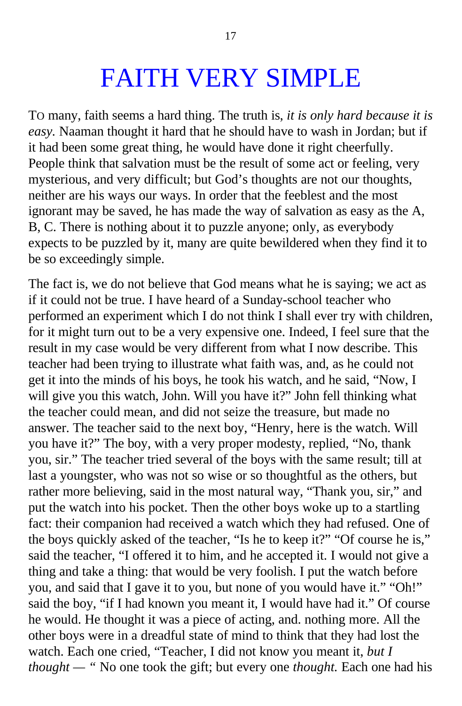### FAITH VERY SIMPLE

TO many, faith seems a hard thing. The truth is, *it is only hard because it is easy.* Naaman thought it hard that he should have to wash in Jordan; but if it had been some great thing, he would have done it right cheerfully. People think that salvation must be the result of some act or feeling, very mysterious, and very difficult; but God's thoughts are not our thoughts, neither are his ways our ways. In order that the feeblest and the most ignorant may be saved, he has made the way of salvation as easy as the A, B, C. There is nothing about it to puzzle anyone; only, as everybody expects to be puzzled by it, many are quite bewildered when they find it to be so exceedingly simple.

The fact is, we do not believe that God means what he is saying; we act as if it could not be true. I have heard of a Sunday-school teacher who performed an experiment which I do not think I shall ever try with children, for it might turn out to be a very expensive one. Indeed, I feel sure that the result in my case would be very different from what I now describe. This teacher had been trying to illustrate what faith was, and, as he could not get it into the minds of his boys, he took his watch, and he said, "Now, I will give you this watch, John. Will you have it?" John fell thinking what the teacher could mean, and did not seize the treasure, but made no answer. The teacher said to the next boy, "Henry, here is the watch. Will you have it?" The boy, with a very proper modesty, replied, "No, thank you, sir." The teacher tried several of the boys with the same result; till at last a youngster, who was not so wise or so thoughtful as the others, but rather more believing, said in the most natural way, "Thank you, sir," and put the watch into his pocket. Then the other boys woke up to a startling fact: their companion had received a watch which they had refused. One of the boys quickly asked of the teacher, "Is he to keep it?" "Of course he is," said the teacher, "I offered it to him, and he accepted it. I would not give a thing and take a thing: that would be very foolish. I put the watch before you, and said that I gave it to you, but none of you would have it." "Oh!" said the boy, "if I had known you meant it, I would have had it." Of course he would. He thought it was a piece of acting, and. nothing more. All the other boys were in a dreadful state of mind to think that they had lost the watch. Each one cried, "Teacher, I did not know you meant it, *but I thought* — " No one took the gift; but every one *thought*. Each one had his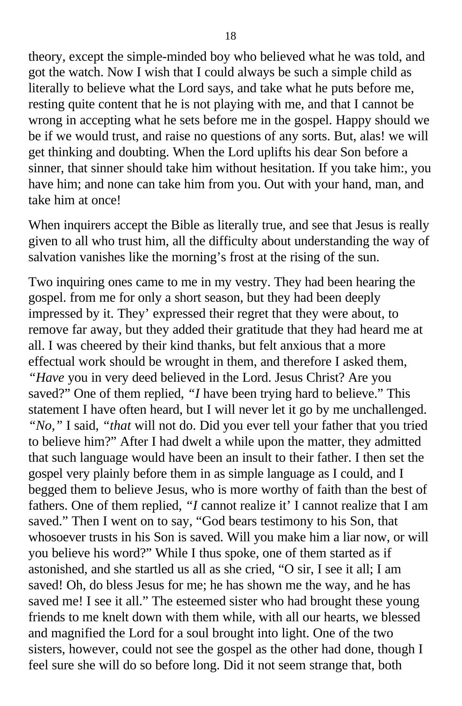theory, except the simple-minded boy who believed what he was told, and got the watch. Now I wish that I could always be such a simple child as literally to believe what the Lord says, and take what he puts before me, resting quite content that he is not playing with me, and that I cannot be wrong in accepting what he sets before me in the gospel. Happy should we be if we would trust, and raise no questions of any sorts. But, alas! we will get thinking and doubting. When the Lord uplifts his dear Son before a sinner, that sinner should take him without hesitation. If you take him:, you have him; and none can take him from you. Out with your hand, man, and take him at once!

When inquirers accept the Bible as literally true, and see that Jesus is really given to all who trust him, all the difficulty about understanding the way of salvation vanishes like the morning's frost at the rising of the sun.

Two inquiring ones came to me in my vestry. They had been hearing the gospel. from me for only a short season, but they had been deeply impressed by it. They' expressed their regret that they were about, to remove far away, but they added their gratitude that they had heard me at all. I was cheered by their kind thanks, but felt anxious that a more effectual work should be wrought in them, and therefore I asked them, *"Have* you in very deed believed in the Lord. Jesus Christ? Are you saved?" One of them replied, "*I* have been trying hard to believe." This statement I have often heard, but I will never let it go by me unchallenged. *"No,"* I said, *"that* will not do. Did you ever tell your father that you tried to believe him?" After I had dwelt a while upon the matter, they admitted that such language would have been an insult to their father. I then set the gospel very plainly before them in as simple language as I could, and I begged them to believe Jesus, who is more worthy of faith than the best of fathers. One of them replied, *"I* cannot realize it' I cannot realize that I am saved." Then I went on to say, "God bears testimony to his Son, that whosoever trusts in his Son is saved. Will you make him a liar now, or will you believe his word?" While I thus spoke, one of them started as if astonished, and she startled us all as she cried, "O sir, I see it all; I am saved! Oh, do bless Jesus for me; he has shown me the way, and he has saved me! I see it all." The esteemed sister who had brought these young friends to me knelt down with them while, with all our hearts, we blessed and magnified the Lord for a soul brought into light. One of the two sisters, however, could not see the gospel as the other had done, though I feel sure she will do so before long. Did it not seem strange that, both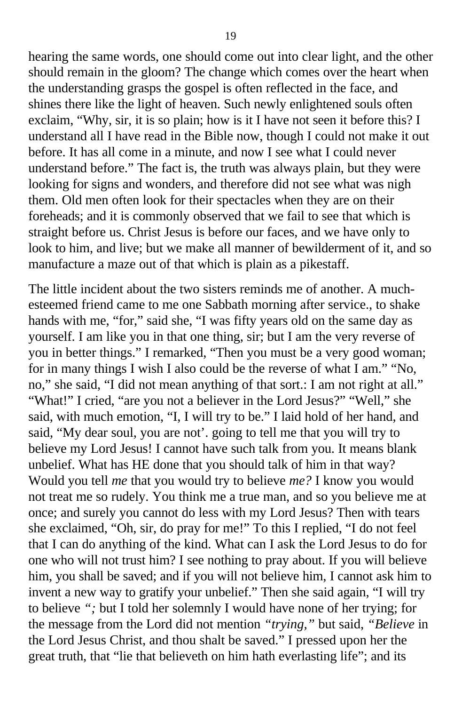hearing the same words, one should come out into clear light, and the other should remain in the gloom? The change which comes over the heart when the understanding grasps the gospel is often reflected in the face, and shines there like the light of heaven. Such newly enlightened souls often exclaim, "Why, sir, it is so plain; how is it I have not seen it before this? I understand all I have read in the Bible now, though I could not make it out before. It has all come in a minute, and now I see what I could never understand before." The fact is, the truth was always plain, but they were looking for signs and wonders, and therefore did not see what was nigh them. Old men often look for their spectacles when they are on their foreheads; and it is commonly observed that we fail to see that which is straight before us. Christ Jesus is before our faces, and we have only to look to him, and live; but we make all manner of bewilderment of it, and so manufacture a maze out of that which is plain as a pikestaff.

The little incident about the two sisters reminds me of another. A muchesteemed friend came to me one Sabbath morning after service., to shake hands with me, "for," said she, "I was fifty years old on the same day as yourself. I am like you in that one thing, sir; but I am the very reverse of you in better things." I remarked, "Then you must be a very good woman; for in many things I wish I also could be the reverse of what I am." "No, no," she said, "I did not mean anything of that sort.: I am not right at all." "What!" I cried, "are you not a believer in the Lord Jesus?" "Well," she said, with much emotion, "I, I will try to be." I laid hold of her hand, and said, "My dear soul, you are not'. going to tell me that you will try to believe my Lord Jesus! I cannot have such talk from you. It means blank unbelief. What has HE done that you should talk of him in that way? Would you tell *me* that you would try to believe *me?* I know you would not treat me so rudely. You think me a true man, and so you believe me at once; and surely you cannot do less with my Lord Jesus? Then with tears she exclaimed, "Oh, sir, do pray for me!" To this I replied, "I do not feel that I can do anything of the kind. What can I ask the Lord Jesus to do for one who will not trust him? I see nothing to pray about. If you will believe him, you shall be saved; and if you will not believe him, I cannot ask him to invent a new way to gratify your unbelief." Then she said again, "I will try to believe *";* but I told her solemnly I would have none of her trying; for the message from the Lord did not mention *"trying,"* but said, *"Believe* in the Lord Jesus Christ, and thou shalt be saved." I pressed upon her the great truth, that "lie that believeth on him hath everlasting life"; and its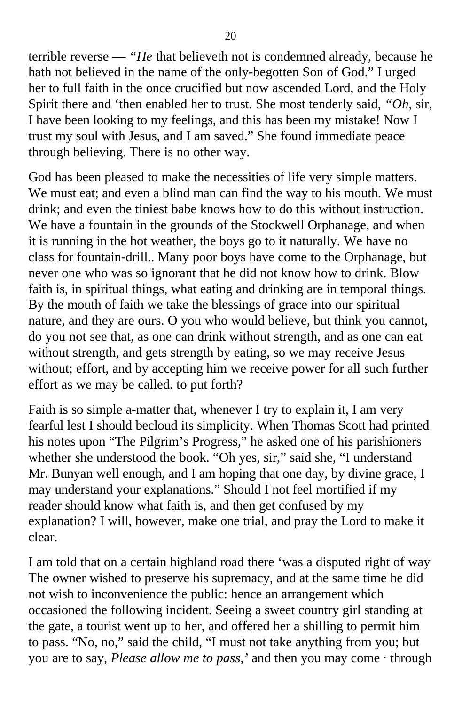terrible reverse — *"He* that believeth not is condemned already, because he hath not believed in the name of the only-begotten Son of God." I urged her to full faith in the once crucified but now ascended Lord, and the Holy Spirit there and 'then enabled her to trust. She most tenderly said, *"Oh,* sir, I have been looking to my feelings, and this has been my mistake! Now I trust my soul with Jesus, and I am saved." She found immediate peace through believing. There is no other way.

God has been pleased to make the necessities of life very simple matters. We must eat; and even a blind man can find the way to his mouth. We must drink; and even the tiniest babe knows how to do this without instruction. We have a fountain in the grounds of the Stockwell Orphanage, and when it is running in the hot weather, the boys go to it naturally. We have no class for fountain-drill.. Many poor boys have come to the Orphanage, but never one who was so ignorant that he did not know how to drink. Blow faith is, in spiritual things, what eating and drinking are in temporal things. By the mouth of faith we take the blessings of grace into our spiritual nature, and they are ours. O you who would believe, but think you cannot, do you not see that, as one can drink without strength, and as one can eat without strength, and gets strength by eating, so we may receive Jesus without; effort, and by accepting him we receive power for all such further effort as we may be called. to put forth?

Faith is so simple a-matter that, whenever I try to explain it, I am very fearful lest I should becloud its simplicity. When Thomas Scott had printed his notes upon "The Pilgrim's Progress," he asked one of his parishioners whether she understood the book. "Oh yes, sir," said she, "I understand Mr. Bunyan well enough, and I am hoping that one day, by divine grace, I may understand your explanations." Should I not feel mortified if my reader should know what faith is, and then get confused by my explanation? I will, however, make one trial, and pray the Lord to make it clear.

I am told that on a certain highland road there 'was a disputed right of way The owner wished to preserve his supremacy, and at the same time he did not wish to inconvenience the public: hence an arrangement which occasioned the following incident. Seeing a sweet country girl standing at the gate, a tourist went up to her, and offered her a shilling to permit him to pass. "No, no," said the child, "I must not take anything from you; but you are to say, *Please allow me to pass,'* and then you may come · through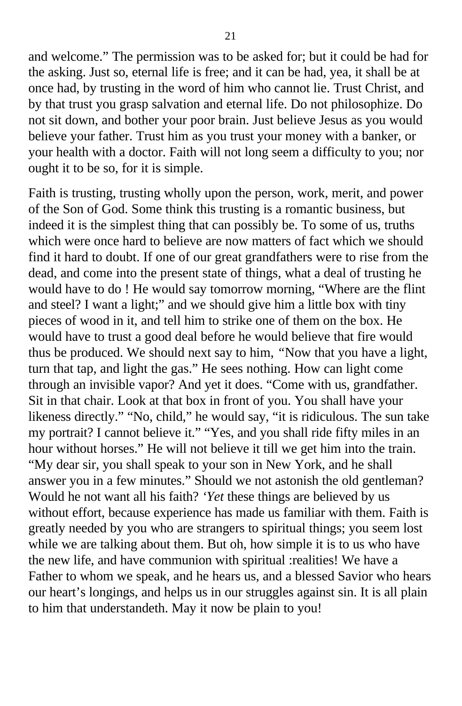and welcome." The permission was to be asked for; but it could be had for the asking. Just so, eternal life is free; and it can be had, yea, it shall be at once had, by trusting in the word of him who cannot lie. Trust Christ, and by that trust you grasp salvation and eternal life. Do not philosophize. Do not sit down, and bother your poor brain. Just believe Jesus as you would believe your father. Trust him as you trust your money with a banker, or your health with a doctor. Faith will not long seem a difficulty to you; nor ought it to be so, for it is simple.

Faith is trusting, trusting wholly upon the person, work, merit, and power of the Son of God. Some think this trusting is a romantic business, but indeed it is the simplest thing that can possibly be. To some of us, truths which were once hard to believe are now matters of fact which we should find it hard to doubt. If one of our great grandfathers were to rise from the dead, and come into the present state of things, what a deal of trusting he would have to do ! He would say tomorrow morning, "Where are the flint and steel? I want a light;" and we should give him a little box with tiny pieces of wood in it, and tell him to strike one of them on the box. He would have to trust a good deal before he would believe that fire would thus be produced. We should next say to him, *"*Now that you have a light, turn that tap, and light the gas." He sees nothing. How can light come through an invisible vapor? And yet it does. "Come with us, grandfather. Sit in that chair. Look at that box in front of you. You shall have your likeness directly." "No, child," he would say, "it is ridiculous. The sun take my portrait? I cannot believe it." "Yes, and you shall ride fifty miles in an hour without horses." He will not believe it till we get him into the train. "My dear sir, you shall speak to your son in New York, and he shall answer you in a few minutes." Should we not astonish the old gentleman? Would he not want all his faith? *'Yet* these things are believed by us without effort, because experience has made us familiar with them. Faith is greatly needed by you who are strangers to spiritual things; you seem lost while we are talking about them. But oh, how simple it is to us who have the new life, and have communion with spiritual :realities! We have a Father to whom we speak, and he hears us, and a blessed Savior who hears our heart's longings, and helps us in our struggles against sin. It is all plain to him that understandeth. May it now be plain to you!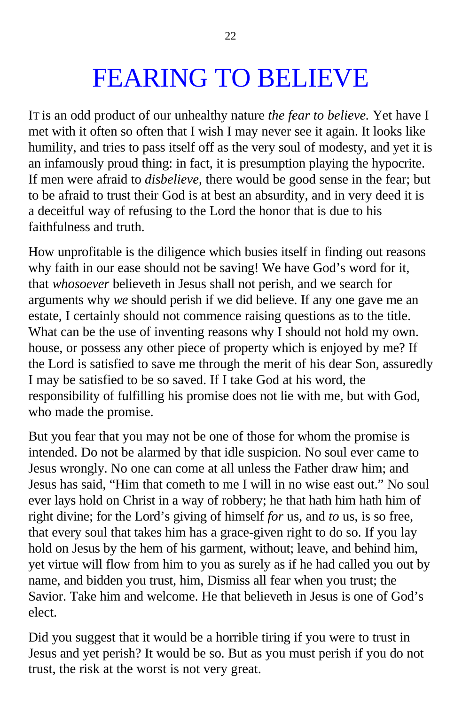# FEARING TO BELIEVE

IT is an odd product of our unhealthy nature *the fear to believe.* Yet have I met with it often so often that I wish I may never see it again. It looks like humility, and tries to pass itself off as the very soul of modesty, and yet it is an infamously proud thing: in fact, it is presumption playing the hypocrite. If men were afraid to *disbelieve,* there would be good sense in the fear; but to be afraid to trust their God is at best an absurdity, and in very deed it is a deceitful way of refusing to the Lord the honor that is due to his faithfulness and truth.

How unprofitable is the diligence which busies itself in finding out reasons why faith in our ease should not be saving! We have God's word for it, that *whosoever* believeth in Jesus shall not perish, and we search for arguments why *we* should perish if we did believe. If any one gave me an estate, I certainly should not commence raising questions as to the title. What can be the use of inventing reasons why I should not hold my own. house, or possess any other piece of property which is enjoyed by me? If the Lord is satisfied to save me through the merit of his dear Son, assuredly I may be satisfied to be so saved. If I take God at his word, the responsibility of fulfilling his promise does not lie with me, but with God, who made the promise.

But you fear that you may not be one of those for whom the promise is intended. Do not be alarmed by that idle suspicion. No soul ever came to Jesus wrongly. No one can come at all unless the Father draw him; and Jesus has said, "Him that cometh to me I will in no wise east out." No soul ever lays hold on Christ in a way of robbery; he that hath him hath him of right divine; for the Lord's giving of himself *for* us, and *to* us, is so free, that every soul that takes him has a grace-given right to do so. If you lay hold on Jesus by the hem of his garment, without; leave, and behind him, yet virtue will flow from him to you as surely as if he had called you out by name, and bidden you trust, him, Dismiss all fear when you trust; the Savior. Take him and welcome. He that believeth in Jesus is one of God's elect.

Did you suggest that it would be a horrible tiring if you were to trust in Jesus and yet perish? It would be so. But as you must perish if you do not trust, the risk at the worst is not very great.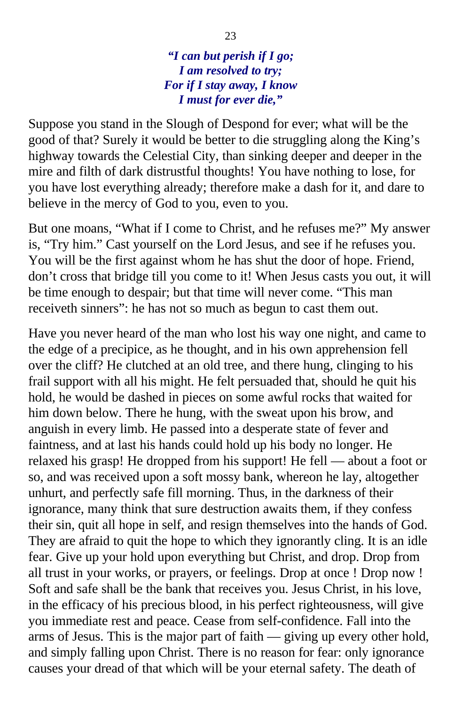*"I can but perish if I go; I am resolved to try; For if I stay away, I know I must for ever die,"*

Suppose you stand in the Slough of Despond for ever; what will be the good of that? Surely it would be better to die struggling along the King's highway towards the Celestial City, than sinking deeper and deeper in the mire and filth of dark distrustful thoughts! You have nothing to lose, for you have lost everything already; therefore make a dash for it, and dare to believe in the mercy of God to you, even to you.

But one moans, "What if I come to Christ, and he refuses me?" My answer is, "Try him." Cast yourself on the Lord Jesus, and see if he refuses you. You will be the first against whom he has shut the door of hope. Friend, don't cross that bridge till you come to it! When Jesus casts you out, it will be time enough to despair; but that time will never come. "This man receiveth sinners": he has not so much as begun to cast them out.

Have you never heard of the man who lost his way one night, and came to the edge of a precipice, as he thought, and in his own apprehension fell over the cliff? He clutched at an old tree, and there hung, clinging to his frail support with all his might. He felt persuaded that, should he quit his hold, he would be dashed in pieces on some awful rocks that waited for him down below. There he hung, with the sweat upon his brow, and anguish in every limb. He passed into a desperate state of fever and faintness, and at last his hands could hold up his body no longer. He relaxed his grasp! He dropped from his support! He fell — about a foot or so, and was received upon a soft mossy bank, whereon he lay, altogether unhurt, and perfectly safe fill morning. Thus, in the darkness of their ignorance, many think that sure destruction awaits them, if they confess their sin, quit all hope in self, and resign themselves into the hands of God. They are afraid to quit the hope to which they ignorantly cling. It is an idle fear. Give up your hold upon everything but Christ, and drop. Drop from all trust in your works, or prayers, or feelings. Drop at once ! Drop now ! Soft and safe shall be the bank that receives you. Jesus Christ, in his love, in the efficacy of his precious blood, in his perfect righteousness, will give you immediate rest and peace. Cease from self-confidence. Fall into the arms of Jesus. This is the major part of faith — giving up every other hold, and simply falling upon Christ. There is no reason for fear: only ignorance causes your dread of that which will be your eternal safety. The death of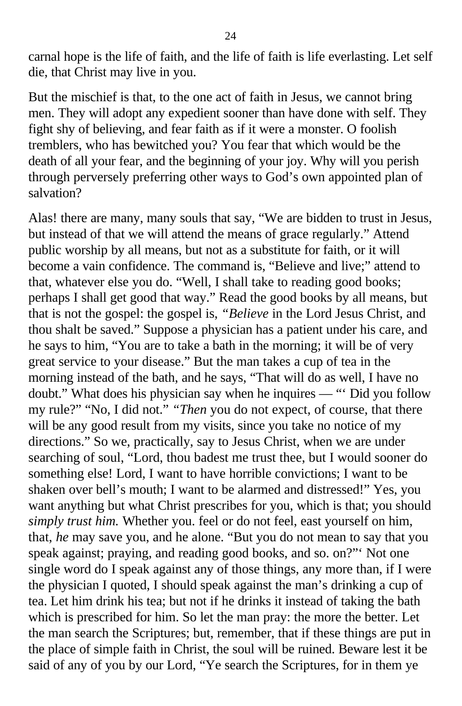carnal hope is the life of faith, and the life of faith is life everlasting. Let self die, that Christ may live in you.

But the mischief is that, to the one act of faith in Jesus, we cannot bring men. They will adopt any expedient sooner than have done with self. They fight shy of believing, and fear faith as if it were a monster. O foolish tremblers, who has bewitched you? You fear that which would be the death of all your fear, and the beginning of your joy. Why will you perish through perversely preferring other ways to God's own appointed plan of salvation?

Alas! there are many, many souls that say, "We are bidden to trust in Jesus, but instead of that we will attend the means of grace regularly." Attend public worship by all means, but not as a substitute for faith, or it will become a vain confidence. The command is, "Believe and live;" attend to that, whatever else you do. "Well, I shall take to reading good books; perhaps I shall get good that way." Read the good books by all means, but that is not the gospel: the gospel is, *"Believe* in the Lord Jesus Christ, and thou shalt be saved." Suppose a physician has a patient under his care, and he says to him, "You are to take a bath in the morning; it will be of very great service to your disease." But the man takes a cup of tea in the morning instead of the bath, and he says, "That will do as well, I have no doubt." What does his physician say when he inquires — "' Did you follow my rule?" "No, I did not." *"Then* you do not expect, of course, that there will be any good result from my visits, since you take no notice of my directions." So we, practically, say to Jesus Christ, when we are under searching of soul, "Lord, thou badest me trust thee, but I would sooner do something else! Lord, I want to have horrible convictions; I want to be shaken over bell's mouth; I want to be alarmed and distressed!" Yes, you want anything but what Christ prescribes for you, which is that; you should *simply trust him.* Whether you. feel or do not feel, east yourself on him, that, *he* may save you, and he alone. "But you do not mean to say that you speak against; praying, and reading good books, and so. on?"' Not one single word do I speak against any of those things, any more than, if I were the physician I quoted, I should speak against the man's drinking a cup of tea. Let him drink his tea; but not if he drinks it instead of taking the bath which is prescribed for him. So let the man pray: the more the better. Let the man search the Scriptures; but, remember, that if these things are put in the place of simple faith in Christ, the soul will be ruined. Beware lest it be said of any of you by our Lord, "Ye search the Scriptures, for in them ye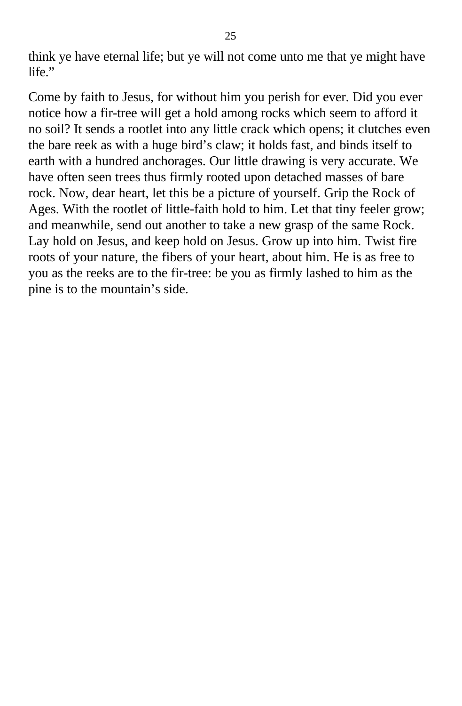think ye have eternal life; but ye will not come unto me that ye might have life."

Come by faith to Jesus, for without him you perish for ever. Did you ever notice how a fir-tree will get a hold among rocks which seem to afford it no soil? It sends a rootlet into any little crack which opens; it clutches even the bare reek as with a huge bird's claw; it holds fast, and binds itself to earth with a hundred anchorages. Our little drawing is very accurate. We have often seen trees thus firmly rooted upon detached masses of bare rock. Now, dear heart, let this be a picture of yourself. Grip the Rock of Ages. With the rootlet of little-faith hold to him. Let that tiny feeler grow; and meanwhile, send out another to take a new grasp of the same Rock. Lay hold on Jesus, and keep hold on Jesus. Grow up into him. Twist fire roots of your nature, the fibers of your heart, about him. He is as free to you as the reeks are to the fir-tree: be you as firmly lashed to him as the pine is to the mountain's side.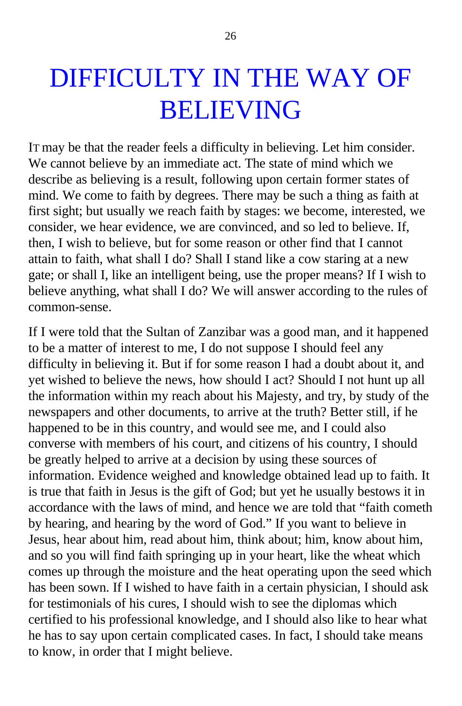### DIFFICULTY IN THE WAY OF BELIEVING

IT may be that the reader feels a difficulty in believing. Let him consider. We cannot believe by an immediate act. The state of mind which we describe as believing is a result, following upon certain former states of mind. We come to faith by degrees. There may be such a thing as faith at first sight; but usually we reach faith by stages: we become, interested, we consider, we hear evidence, we are convinced, and so led to believe. If, then, I wish to believe, but for some reason or other find that I cannot attain to faith, what shall I do? Shall I stand like a cow staring at a new gate; or shall I, like an intelligent being, use the proper means? If I wish to believe anything, what shall I do? We will answer according to the rules of common-sense.

If I were told that the Sultan of Zanzibar was a good man, and it happened to be a matter of interest to me, I do not suppose I should feel any difficulty in believing it. But if for some reason I had a doubt about it, and yet wished to believe the news, how should I act? Should I not hunt up all the information within my reach about his Majesty, and try, by study of the newspapers and other documents, to arrive at the truth? Better still, if he happened to be in this country, and would see me, and I could also converse with members of his court, and citizens of his country, I should be greatly helped to arrive at a decision by using these sources of information. Evidence weighed and knowledge obtained lead up to faith. It is true that faith in Jesus is the gift of God; but yet he usually bestows it in accordance with the laws of mind, and hence we are told that "faith cometh by hearing, and hearing by the word of God." If you want to believe in Jesus, hear about him, read about him, think about; him, know about him, and so you will find faith springing up in your heart, like the wheat which comes up through the moisture and the heat operating upon the seed which has been sown. If I wished to have faith in a certain physician, I should ask for testimonials of his cures, I should wish to see the diplomas which certified to his professional knowledge, and I should also like to hear what he has to say upon certain complicated cases. In fact, I should take means to know, in order that I might believe.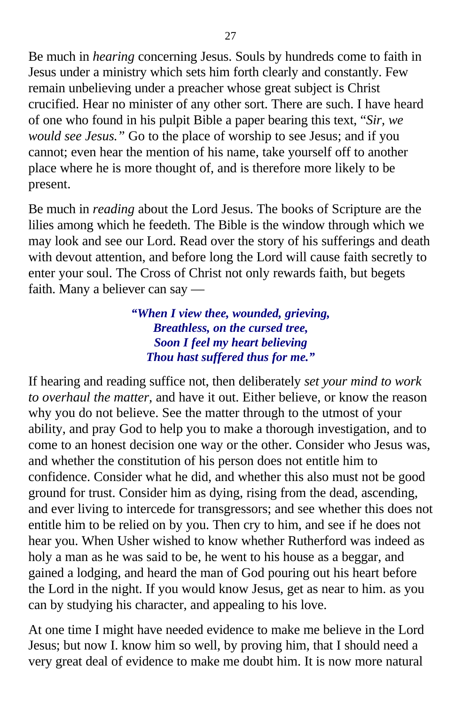Be much in *hearing* concerning Jesus. Souls by hundreds come to faith in Jesus under a ministry which sets him forth clearly and constantly. Few remain unbelieving under a preacher whose great subject is Christ crucified. Hear no minister of any other sort. There are such. I have heard of one who found in his pulpit Bible a paper bearing this text, "*Sir, we would see Jesus."* Go to the place of worship to see Jesus; and if you cannot; even hear the mention of his name, take yourself off to another place where he is more thought of, and is therefore more likely to be present.

Be much in *reading* about the Lord Jesus. The books of Scripture are the lilies among which he feedeth. The Bible is the window through which we may look and see our Lord. Read over the story of his sufferings and death with devout attention, and before long the Lord will cause faith secretly to enter your soul. The Cross of Christ not only rewards faith, but begets faith. Many a believer can say —

#### *"When I view thee, wounded, grieving, Breathless, on the cursed tree, Soon I feel my heart believing Thou hast suffered thus for me."*

If hearing and reading suffice not, then deliberately *set your mind to work to overhaul the matter,* and have it out. Either believe, or know the reason why you do not believe. See the matter through to the utmost of your ability, and pray God to help you to make a thorough investigation, and to come to an honest decision one way or the other. Consider who Jesus was, and whether the constitution of his person does not entitle him to confidence. Consider what he did, and whether this also must not be good ground for trust. Consider him as dying, rising from the dead, ascending, and ever living to intercede for transgressors; and see whether this does not entitle him to be relied on by you. Then cry to him, and see if he does not hear you. When Usher wished to know whether Rutherford was indeed as holy a man as he was said to be, he went to his house as a beggar, and gained a lodging, and heard the man of God pouring out his heart before the Lord in the night. If you would know Jesus, get as near to him. as you can by studying his character, and appealing to his love.

At one time I might have needed evidence to make me believe in the Lord Jesus; but now I. know him so well, by proving him, that I should need a very great deal of evidence to make me doubt him. It is now more natural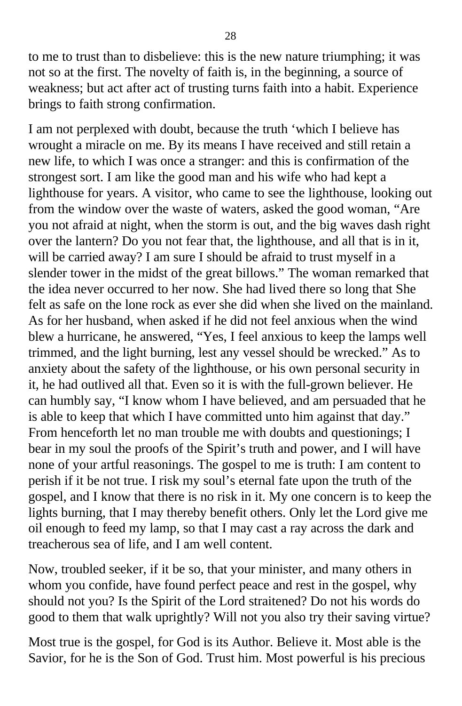to me to trust than to disbelieve: this is the new nature triumphing; it was not so at the first. The novelty of faith is, in the beginning, a source of weakness; but act after act of trusting turns faith into a habit. Experience brings to faith strong confirmation.

I am not perplexed with doubt, because the truth 'which I believe has wrought a miracle on me. By its means I have received and still retain a new life, to which I was once a stranger: and this is confirmation of the strongest sort. I am like the good man and his wife who had kept a lighthouse for years. A visitor, who came to see the lighthouse, looking out from the window over the waste of waters, asked the good woman, "Are you not afraid at night, when the storm is out, and the big waves dash right over the lantern? Do you not fear that, the lighthouse, and all that is in it, will be carried away? I am sure I should be afraid to trust myself in a slender tower in the midst of the great billows." The woman remarked that the idea never occurred to her now. She had lived there so long that She felt as safe on the lone rock as ever she did when she lived on the mainland. As for her husband, when asked if he did not feel anxious when the wind blew a hurricane, he answered, "Yes, I feel anxious to keep the lamps well trimmed, and the light burning, lest any vessel should be wrecked." As to anxiety about the safety of the lighthouse, or his own personal security in it, he had outlived all that. Even so it is with the full-grown believer. He can humbly say, "I know whom I have believed, and am persuaded that he is able to keep that which I have committed unto him against that day." From henceforth let no man trouble me with doubts and questionings; I bear in my soul the proofs of the Spirit's truth and power, and I will have none of your artful reasonings. The gospel to me is truth: I am content to perish if it be not true. I risk my soul's eternal fate upon the truth of the gospel, and I know that there is no risk in it. My one concern is to keep the lights burning, that I may thereby benefit others. Only let the Lord give me oil enough to feed my lamp, so that I may cast a ray across the dark and treacherous sea of life, and I am well content.

Now, troubled seeker, if it be so, that your minister, and many others in whom you confide, have found perfect peace and rest in the gospel, why should not you? Is the Spirit of the Lord straitened? Do not his words do good to them that walk uprightly? Will not you also try their saving virtue?

Most true is the gospel, for God is its Author. Believe it. Most able is the Savior, for he is the Son of God. Trust him. Most powerful is his precious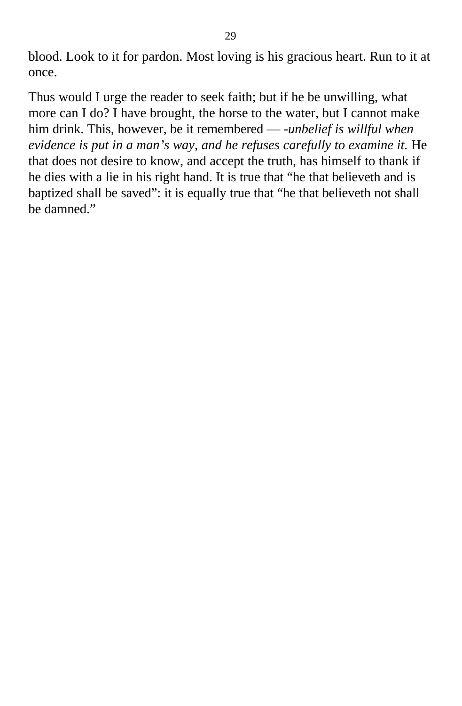blood. Look to it for pardon. Most loving is his gracious heart. Run to it at once.

Thus would I urge the reader to seek faith; but if he be unwilling, what more can I do? I have brought, the horse to the water, but I cannot make him drink. This, however, be it remembered — -*unbelief is willful when evidence is put in a man's way, and he refuses carefully to examine it.* He that does not desire to know, and accept the truth, has himself to thank if he dies with a lie in his right hand. It is true that "he that believeth and is baptized shall be saved": it is equally true that "he that believeth not shall be damned."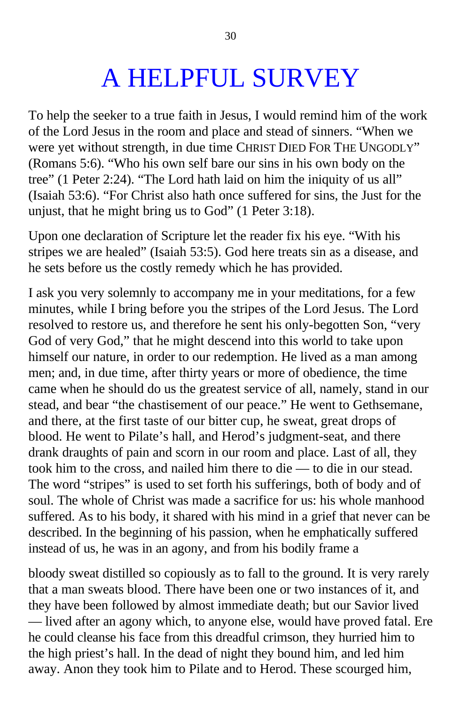## A HELPFUL SURVEY

To help the seeker to a true faith in Jesus, I would remind him of the work of the Lord Jesus in the room and place and stead of sinners. "When we were yet without strength, in due time CHRIST DIED FOR THE UNGODLY" (Romans 5:6). "Who his own self bare our sins in his own body on the tree" (1 Peter 2:24). "The Lord hath laid on him the iniquity of us all" (Isaiah 53:6). "For Christ also hath once suffered for sins, the Just for the unjust, that he might bring us to God" (1 Peter 3:18).

Upon one declaration of Scripture let the reader fix his eye. "With his stripes we are healed" (Isaiah 53:5). God here treats sin as a disease, and he sets before us the costly remedy which he has provided.

I ask you very solemnly to accompany me in your meditations, for a few minutes, while I bring before you the stripes of the Lord Jesus. The Lord resolved to restore us, and therefore he sent his only-begotten Son, "very God of very God," that he might descend into this world to take upon himself our nature, in order to our redemption. He lived as a man among men; and, in due time, after thirty years or more of obedience, the time came when he should do us the greatest service of all, namely, stand in our stead, and bear "the chastisement of our peace." He went to Gethsemane, and there, at the first taste of our bitter cup, he sweat, great drops of blood. He went to Pilate's hall, and Herod's judgment-seat, and there drank draughts of pain and scorn in our room and place. Last of all, they took him to the cross, and nailed him there to die — to die in our stead. The word "stripes" is used to set forth his sufferings, both of body and of soul. The whole of Christ was made a sacrifice for us: his whole manhood suffered. As to his body, it shared with his mind in a grief that never can be described. In the beginning of his passion, when he emphatically suffered instead of us, he was in an agony, and from his bodily frame a

bloody sweat distilled so copiously as to fall to the ground. It is very rarely that a man sweats blood. There have been one or two instances of it, and they have been followed by almost immediate death; but our Savior lived — lived after an agony which, to anyone else, would have proved fatal. Ere he could cleanse his face from this dreadful crimson, they hurried him to the high priest's hall. In the dead of night they bound him, and led him away. Anon they took him to Pilate and to Herod. These scourged him,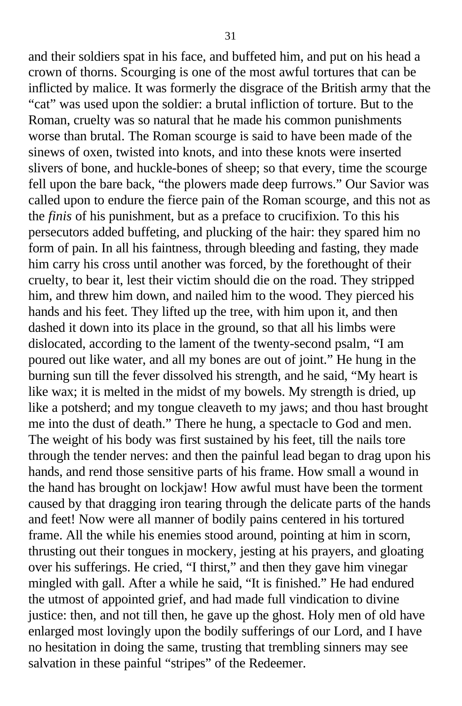and their soldiers spat in his face, and buffeted him, and put on his head a crown of thorns. Scourging is one of the most awful tortures that can be inflicted by malice. It was formerly the disgrace of the British army that the "cat" was used upon the soldier: a brutal infliction of torture. But to the Roman, cruelty was so natural that he made his common punishments worse than brutal. The Roman scourge is said to have been made of the sinews of oxen, twisted into knots, and into these knots were inserted slivers of bone, and huckle-bones of sheep; so that every, time the scourge fell upon the bare back, "the plowers made deep furrows." Our Savior was called upon to endure the fierce pain of the Roman scourge, and this not as the *finis* of his punishment, but as a preface to crucifixion. To this his persecutors added buffeting, and plucking of the hair: they spared him no form of pain. In all his faintness, through bleeding and fasting, they made him carry his cross until another was forced, by the forethought of their cruelty, to bear it, lest their victim should die on the road. They stripped him, and threw him down, and nailed him to the wood. They pierced his hands and his feet. They lifted up the tree, with him upon it, and then dashed it down into its place in the ground, so that all his limbs were dislocated, according to the lament of the twenty-second psalm, "I am poured out like water, and all my bones are out of joint." He hung in the burning sun till the fever dissolved his strength, and he said, "My heart is like wax; it is melted in the midst of my bowels. My strength is dried, up like a potsherd; and my tongue cleaveth to my jaws; and thou hast brought me into the dust of death." There he hung, a spectacle to God and men. The weight of his body was first sustained by his feet, till the nails tore through the tender nerves: and then the painful lead began to drag upon his hands, and rend those sensitive parts of his frame. How small a wound in the hand has brought on lockjaw! How awful must have been the torment caused by that dragging iron tearing through the delicate parts of the hands and feet! Now were all manner of bodily pains centered in his tortured frame. All the while his enemies stood around, pointing at him in scorn, thrusting out their tongues in mockery, jesting at his prayers, and gloating over his sufferings. He cried, "I thirst," and then they gave him vinegar mingled with gall. After a while he said, "It is finished." He had endured the utmost of appointed grief, and had made full vindication to divine justice: then, and not till then, he gave up the ghost. Holy men of old have enlarged most lovingly upon the bodily sufferings of our Lord, and I have no hesitation in doing the same, trusting that trembling sinners may see salvation in these painful "stripes" of the Redeemer.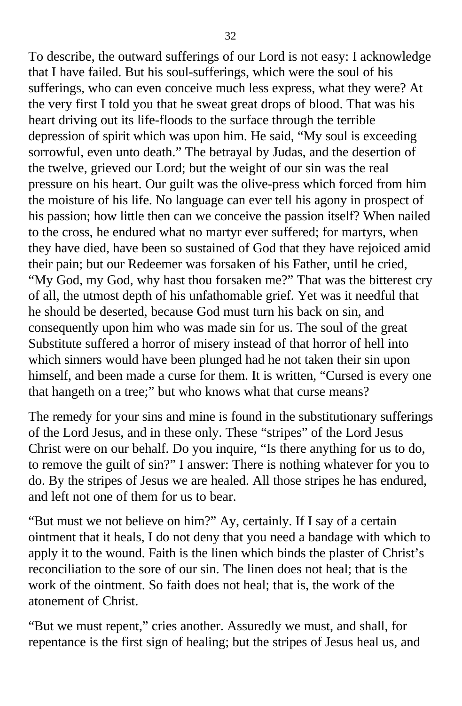To describe, the outward sufferings of our Lord is not easy: I acknowledge that I have failed. But his soul-sufferings, which were the soul of his sufferings, who can even conceive much less express, what they were? At the very first I told you that he sweat great drops of blood. That was his heart driving out its life-floods to the surface through the terrible depression of spirit which was upon him. He said, "My soul is exceeding sorrowful, even unto death." The betrayal by Judas, and the desertion of the twelve, grieved our Lord; but the weight of our sin was the real pressure on his heart. Our guilt was the olive-press which forced from him the moisture of his life. No language can ever tell his agony in prospect of his passion; how little then can we conceive the passion itself? When nailed to the cross, he endured what no martyr ever suffered; for martyrs, when they have died, have been so sustained of God that they have rejoiced amid their pain; but our Redeemer was forsaken of his Father, until he cried, "My God, my God, why hast thou forsaken me?" That was the bitterest cry of all, the utmost depth of his unfathomable grief. Yet was it needful that he should be deserted, because God must turn his back on sin, and consequently upon him who was made sin for us. The soul of the great Substitute suffered a horror of misery instead of that horror of hell into which sinners would have been plunged had he not taken their sin upon himself, and been made a curse for them. It is written, "Cursed is every one that hangeth on a tree;" but who knows what that curse means?

The remedy for your sins and mine is found in the substitutionary sufferings of the Lord Jesus, and in these only. These "stripes" of the Lord Jesus Christ were on our behalf. Do you inquire, "Is there anything for us to do, to remove the guilt of sin?" I answer: There is nothing whatever for you to do. By the stripes of Jesus we are healed. All those stripes he has endured, and left not one of them for us to bear.

"But must we not believe on him?" Ay, certainly. If I say of a certain ointment that it heals, I do not deny that you need a bandage with which to apply it to the wound. Faith is the linen which binds the plaster of Christ's reconciliation to the sore of our sin. The linen does not heal; that is the work of the ointment. So faith does not heal; that is, the work of the atonement of Christ.

"But we must repent," cries another. Assuredly we must, and shall, for repentance is the first sign of healing; but the stripes of Jesus heal us, and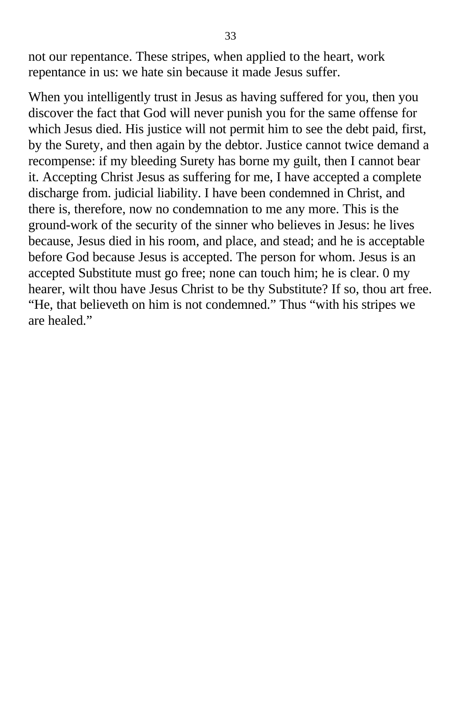not our repentance. These stripes, when applied to the heart, work repentance in us: we hate sin because it made Jesus suffer.

When you intelligently trust in Jesus as having suffered for you, then you discover the fact that God will never punish you for the same offense for which Jesus died. His justice will not permit him to see the debt paid, first, by the Surety, and then again by the debtor. Justice cannot twice demand a recompense: if my bleeding Surety has borne my guilt, then I cannot bear it. Accepting Christ Jesus as suffering for me, I have accepted a complete discharge from. judicial liability. I have been condemned in Christ, and there is, therefore, now no condemnation to me any more. This is the ground-work of the security of the sinner who believes in Jesus: he lives because, Jesus died in his room, and place, and stead; and he is acceptable before God because Jesus is accepted. The person for whom. Jesus is an accepted Substitute must go free; none can touch him; he is clear. 0 my hearer, wilt thou have Jesus Christ to be thy Substitute? If so, thou art free. "He, that believeth on him is not condemned." Thus "with his stripes we are healed."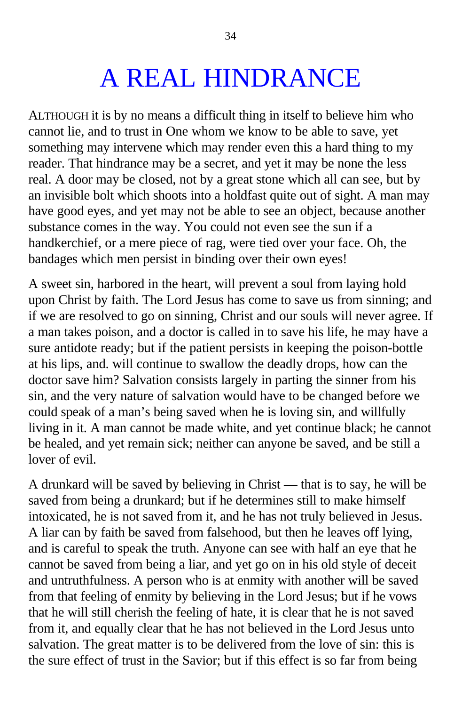## A REAL HINDRANCE

ALTHOUGH it is by no means a difficult thing in itself to believe him who cannot lie, and to trust in One whom we know to be able to save, yet something may intervene which may render even this a hard thing to my reader. That hindrance may be a secret, and yet it may be none the less real. A door may be closed, not by a great stone which all can see, but by an invisible bolt which shoots into a holdfast quite out of sight. A man may have good eyes, and yet may not be able to see an object, because another substance comes in the way. You could not even see the sun if a handkerchief, or a mere piece of rag, were tied over your face. Oh, the bandages which men persist in binding over their own eyes!

A sweet sin, harbored in the heart, will prevent a soul from laying hold upon Christ by faith. The Lord Jesus has come to save us from sinning; and if we are resolved to go on sinning, Christ and our souls will never agree. If a man takes poison, and a doctor is called in to save his life, he may have a sure antidote ready; but if the patient persists in keeping the poison-bottle at his lips, and. will continue to swallow the deadly drops, how can the doctor save him? Salvation consists largely in parting the sinner from his sin, and the very nature of salvation would have to be changed before we could speak of a man's being saved when he is loving sin, and willfully living in it. A man cannot be made white, and yet continue black; he cannot be healed, and yet remain sick; neither can anyone be saved, and be still a lover of evil.

A drunkard will be saved by believing in Christ — that is to say, he will be saved from being a drunkard; but if he determines still to make himself intoxicated, he is not saved from it, and he has not truly believed in Jesus. A liar can by faith be saved from falsehood, but then he leaves off lying, and is careful to speak the truth. Anyone can see with half an eye that he cannot be saved from being a liar, and yet go on in his old style of deceit and untruthfulness. A person who is at enmity with another will be saved from that feeling of enmity by believing in the Lord Jesus; but if he vows that he will still cherish the feeling of hate, it is clear that he is not saved from it, and equally clear that he has not believed in the Lord Jesus unto salvation. The great matter is to be delivered from the love of sin: this is the sure effect of trust in the Savior; but if this effect is so far from being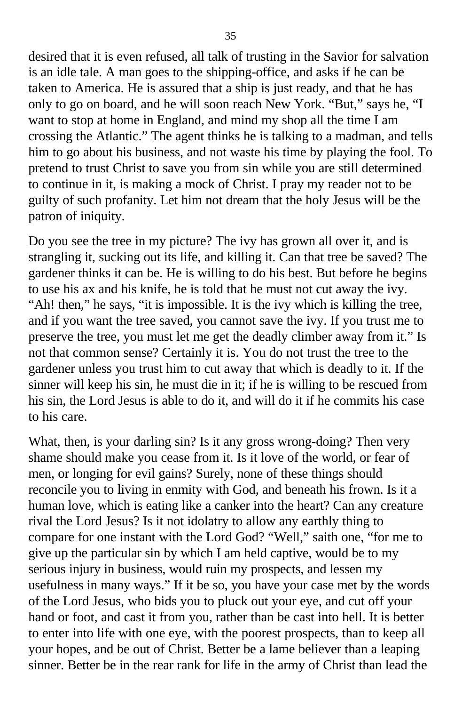desired that it is even refused, all talk of trusting in the Savior for salvation is an idle tale. A man goes to the shipping-office, and asks if he can be taken to America. He is assured that a ship is just ready, and that he has only to go on board, and he will soon reach New York. "But," says he, "I want to stop at home in England, and mind my shop all the time I am crossing the Atlantic." The agent thinks he is talking to a madman, and tells him to go about his business, and not waste his time by playing the fool. To pretend to trust Christ to save you from sin while you are still determined to continue in it, is making a mock of Christ. I pray my reader not to be guilty of such profanity. Let him not dream that the holy Jesus will be the patron of iniquity.

Do you see the tree in my picture? The ivy has grown all over it, and is strangling it, sucking out its life, and killing it. Can that tree be saved? The gardener thinks it can be. He is willing to do his best. But before he begins to use his ax and his knife, he is told that he must not cut away the ivy. "Ah! then," he says, "it is impossible. It is the ivy which is killing the tree, and if you want the tree saved, you cannot save the ivy. If you trust me to preserve the tree, you must let me get the deadly climber away from it." Is not that common sense? Certainly it is. You do not trust the tree to the gardener unless you trust him to cut away that which is deadly to it. If the sinner will keep his sin, he must die in it; if he is willing to be rescued from his sin, the Lord Jesus is able to do it, and will do it if he commits his case to his care.

What, then, is your darling sin? Is it any gross wrong-doing? Then very shame should make you cease from it. Is it love of the world, or fear of men, or longing for evil gains? Surely, none of these things should reconcile you to living in enmity with God, and beneath his frown. Is it a human love, which is eating like a canker into the heart? Can any creature rival the Lord Jesus? Is it not idolatry to allow any earthly thing to compare for one instant with the Lord God? "Well," saith one, "for me to give up the particular sin by which I am held captive, would be to my serious injury in business, would ruin my prospects, and lessen my usefulness in many ways." If it be so, you have your case met by the words of the Lord Jesus, who bids you to pluck out your eye, and cut off your hand or foot, and cast it from you, rather than be cast into hell. It is better to enter into life with one eye, with the poorest prospects, than to keep all your hopes, and be out of Christ. Better be a lame believer than a leaping sinner. Better be in the rear rank for life in the army of Christ than lead the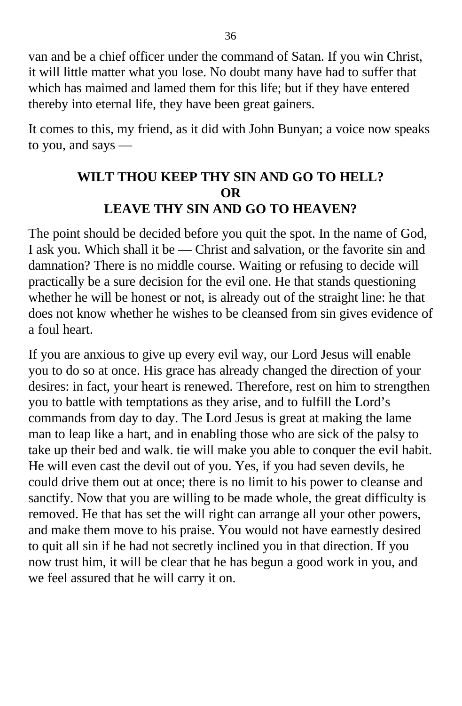van and be a chief officer under the command of Satan. If you win Christ, it will little matter what you lose. No doubt many have had to suffer that which has maimed and lamed them for this life; but if they have entered thereby into eternal life, they have been great gainers.

It comes to this, my friend, as it did with John Bunyan; a voice now speaks to you, and says —

#### **WILT THOU KEEP THY SIN AND GO TO HELL? OR LEAVE THY SIN AND GO TO HEAVEN?**

The point should be decided before you quit the spot. In the name of God, I ask you. Which shall it be — Christ and salvation, or the favorite sin and damnation? There is no middle course. Waiting or refusing to decide will practically be a sure decision for the evil one. He that stands questioning whether he will be honest or not, is already out of the straight line: he that does not know whether he wishes to be cleansed from sin gives evidence of a foul heart.

If you are anxious to give up every evil way, our Lord Jesus will enable you to do so at once. His grace has already changed the direction of your desires: in fact, your heart is renewed. Therefore, rest on him to strengthen you to battle with temptations as they arise, and to fulfill the Lord's commands from day to day. The Lord Jesus is great at making the lame man to leap like a hart, and in enabling those who are sick of the palsy to take up their bed and walk. tie will make you able to conquer the evil habit. He will even cast the devil out of you. Yes, if you had seven devils, he could drive them out at once; there is no limit to his power to cleanse and sanctify. Now that you are willing to be made whole, the great difficulty is removed. He that has set the will right can arrange all your other powers, and make them move to his praise. You would not have earnestly desired to quit all sin if he had not secretly inclined you in that direction. If you now trust him, it will be clear that he has begun a good work in you, and we feel assured that he will carry it on.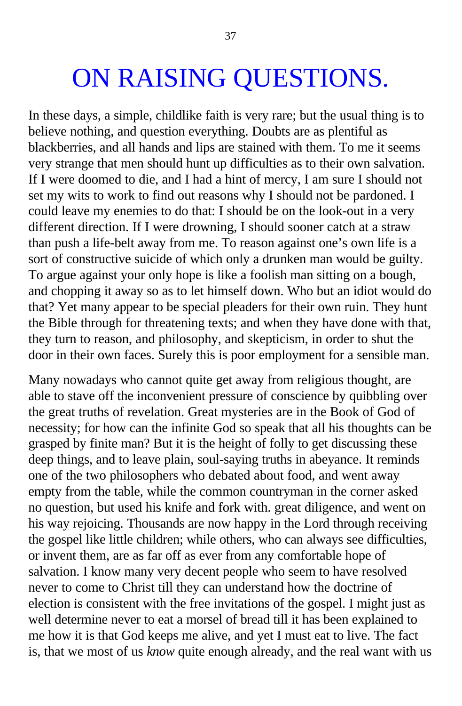## ON RAISING QUESTIONS.

In these days, a simple, childlike faith is very rare; but the usual thing is to believe nothing, and question everything. Doubts are as plentiful as blackberries, and all hands and lips are stained with them. To me it seems very strange that men should hunt up difficulties as to their own salvation. If I were doomed to die, and I had a hint of mercy, I am sure I should not set my wits to work to find out reasons why I should not be pardoned. I could leave my enemies to do that: I should be on the look-out in a very different direction. If I were drowning, I should sooner catch at a straw than push a life-belt away from me. To reason against one's own life is a sort of constructive suicide of which only a drunken man would be guilty. To argue against your only hope is like a foolish man sitting on a bough, and chopping it away so as to let himself down. Who but an idiot would do that? Yet many appear to be special pleaders for their own ruin. They hunt the Bible through for threatening texts; and when they have done with that, they turn to reason, and philosophy, and skepticism, in order to shut the door in their own faces. Surely this is poor employment for a sensible man.

Many nowadays who cannot quite get away from religious thought, are able to stave off the inconvenient pressure of conscience by quibbling over the great truths of revelation. Great mysteries are in the Book of God of necessity; for how can the infinite God so speak that all his thoughts can be grasped by finite man? But it is the height of folly to get discussing these deep things, and to leave plain, soul-saying truths in abeyance. It reminds one of the two philosophers who debated about food, and went away empty from the table, while the common countryman in the corner asked no question, but used his knife and fork with. great diligence, and went on his way rejoicing. Thousands are now happy in the Lord through receiving the gospel like little children; while others, who can always see difficulties, or invent them, are as far off as ever from any comfortable hope of salvation. I know many very decent people who seem to have resolved never to come to Christ till they can understand how the doctrine of election is consistent with the free invitations of the gospel. I might just as well determine never to eat a morsel of bread till it has been explained to me how it is that God keeps me alive, and yet I must eat to live. The fact is, that we most of us *know* quite enough already, and the real want with us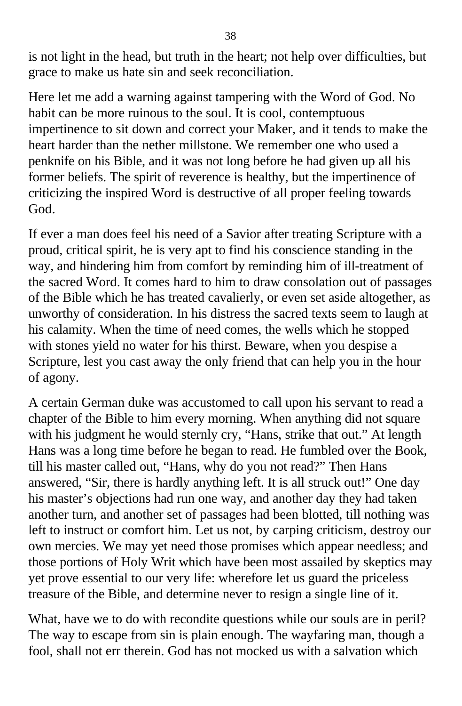is not light in the head, but truth in the heart; not help over difficulties, but grace to make us hate sin and seek reconciliation.

Here let me add a warning against tampering with the Word of God. No habit can be more ruinous to the soul. It is cool, contemptuous impertinence to sit down and correct your Maker, and it tends to make the heart harder than the nether millstone. We remember one who used a penknife on his Bible, and it was not long before he had given up all his former beliefs. The spirit of reverence is healthy, but the impertinence of criticizing the inspired Word is destructive of all proper feeling towards God.

If ever a man does feel his need of a Savior after treating Scripture with a proud, critical spirit, he is very apt to find his conscience standing in the way, and hindering him from comfort by reminding him of ill-treatment of the sacred Word. It comes hard to him to draw consolation out of passages of the Bible which he has treated cavalierly, or even set aside altogether, as unworthy of consideration. In his distress the sacred texts seem to laugh at his calamity. When the time of need comes, the wells which he stopped with stones yield no water for his thirst. Beware, when you despise a Scripture, lest you cast away the only friend that can help you in the hour of agony.

A certain German duke was accustomed to call upon his servant to read a chapter of the Bible to him every morning. When anything did not square with his judgment he would sternly cry, "Hans, strike that out." At length Hans was a long time before he began to read. He fumbled over the Book, till his master called out, "Hans, why do you not read?" Then Hans answered, "Sir, there is hardly anything left. It is all struck out!" One day his master's objections had run one way, and another day they had taken another turn, and another set of passages had been blotted, till nothing was left to instruct or comfort him. Let us not, by carping criticism, destroy our own mercies. We may yet need those promises which appear needless; and those portions of Holy Writ which have been most assailed by skeptics may yet prove essential to our very life: wherefore let us guard the priceless treasure of the Bible, and determine never to resign a single line of it.

What, have we to do with recondite questions while our souls are in peril? The way to escape from sin is plain enough. The wayfaring man, though a fool, shall not err therein. God has not mocked us with a salvation which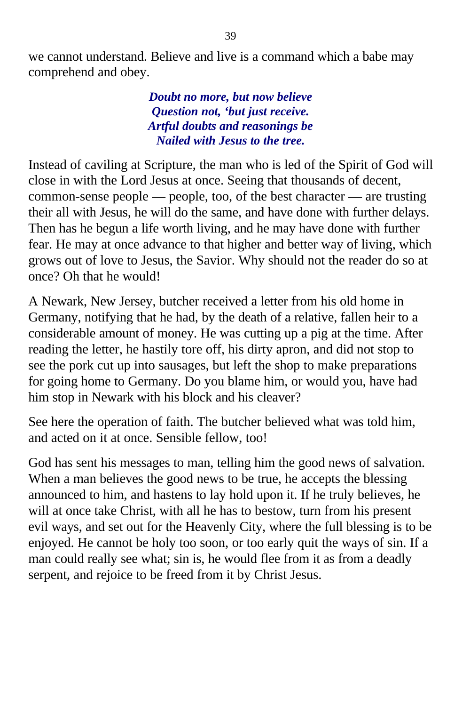we cannot understand. Believe and live is a command which a babe may comprehend and obey.

> *Doubt no more, but now believe Question not, 'but just receive. Artful doubts and reasonings be Nailed with Jesus to the tree.*

Instead of caviling at Scripture, the man who is led of the Spirit of God will close in with the Lord Jesus at once. Seeing that thousands of decent, common-sense people — people, too, of the best character — are trusting their all with Jesus, he will do the same, and have done with further delays. Then has he begun a life worth living, and he may have done with further fear. He may at once advance to that higher and better way of living, which grows out of love to Jesus, the Savior. Why should not the reader do so at once? Oh that he would!

A Newark, New Jersey, butcher received a letter from his old home in Germany, notifying that he had, by the death of a relative, fallen heir to a considerable amount of money. He was cutting up a pig at the time. After reading the letter, he hastily tore off, his dirty apron, and did not stop to see the pork cut up into sausages, but left the shop to make preparations for going home to Germany. Do you blame him, or would you, have had him stop in Newark with his block and his cleaver?

See here the operation of faith. The butcher believed what was told him, and acted on it at once. Sensible fellow, too!

God has sent his messages to man, telling him the good news of salvation. When a man believes the good news to be true, he accepts the blessing announced to him, and hastens to lay hold upon it. If he truly believes, he will at once take Christ, with all he has to bestow, turn from his present evil ways, and set out for the Heavenly City, where the full blessing is to be enjoyed. He cannot be holy too soon, or too early quit the ways of sin. If a man could really see what; sin is, he would flee from it as from a deadly serpent, and rejoice to be freed from it by Christ Jesus.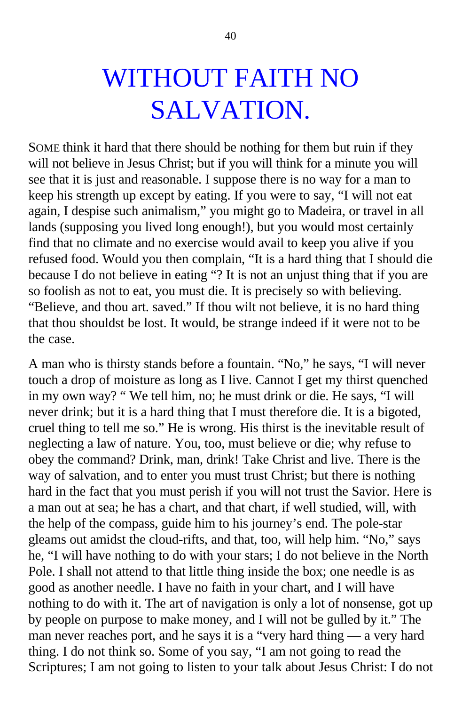## WITHOUT FAITH NO SALVATION.

SOME think it hard that there should be nothing for them but ruin if they will not believe in Jesus Christ; but if you will think for a minute you will see that it is just and reasonable. I suppose there is no way for a man to keep his strength up except by eating. If you were to say, "I will not eat again, I despise such animalism," you might go to Madeira, or travel in all lands (supposing you lived long enough!), but you would most certainly find that no climate and no exercise would avail to keep you alive if you refused food. Would you then complain, "It is a hard thing that I should die because I do not believe in eating "? It is not an unjust thing that if you are so foolish as not to eat, you must die. It is precisely so with believing. "Believe, and thou art. saved." If thou wilt not believe, it is no hard thing that thou shouldst be lost. It would, be strange indeed if it were not to be the case.

A man who is thirsty stands before a fountain. "No," he says, "I will never touch a drop of moisture as long as I live. Cannot I get my thirst quenched in my own way? " We tell him, no; he must drink or die. He says, "I will never drink; but it is a hard thing that I must therefore die. It is a bigoted, cruel thing to tell me so." He is wrong. His thirst is the inevitable result of neglecting a law of nature. You, too, must believe or die; why refuse to obey the command? Drink, man, drink! Take Christ and live. There is the way of salvation, and to enter you must trust Christ; but there is nothing hard in the fact that you must perish if you will not trust the Savior. Here is a man out at sea; he has a chart, and that chart, if well studied, will, with the help of the compass, guide him to his journey's end. The pole-star gleams out amidst the cloud-rifts, and that, too, will help him. "No," says he, "I will have nothing to do with your stars; I do not believe in the North Pole. I shall not attend to that little thing inside the box; one needle is as good as another needle. I have no faith in your chart, and I will have nothing to do with it. The art of navigation is only a lot of nonsense, got up by people on purpose to make money, and I will not be gulled by it." The man never reaches port, and he says it is a "very hard thing — a very hard thing. I do not think so. Some of you say, "I am not going to read the Scriptures; I am not going to listen to your talk about Jesus Christ: I do not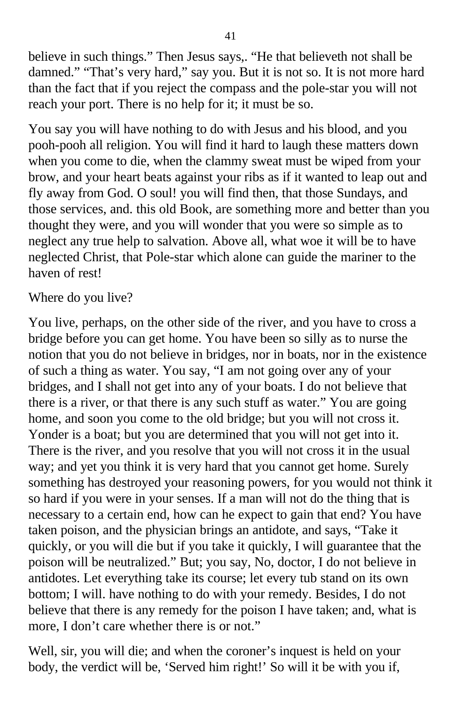believe in such things." Then Jesus says,. "He that believeth not shall be damned." "That's very hard," say you. But it is not so. It is not more hard than the fact that if you reject the compass and the pole-star you will not reach your port. There is no help for it; it must be so.

You say you will have nothing to do with Jesus and his blood, and you pooh-pooh all religion. You will find it hard to laugh these matters down when you come to die, when the clammy sweat must be wiped from your brow, and your heart beats against your ribs as if it wanted to leap out and fly away from God. O soul! you will find then, that those Sundays, and those services, and. this old Book, are something more and better than you thought they were, and you will wonder that you were so simple as to neglect any true help to salvation. Above all, what woe it will be to have neglected Christ, that Pole-star which alone can guide the mariner to the haven of rest!

#### Where do you live?

You live, perhaps, on the other side of the river, and you have to cross a bridge before you can get home. You have been so silly as to nurse the notion that you do not believe in bridges, nor in boats, nor in the existence of such a thing as water. You say, "I am not going over any of your bridges, and I shall not get into any of your boats. I do not believe that there is a river, or that there is any such stuff as water." You are going home, and soon you come to the old bridge; but you will not cross it. Yonder is a boat; but you are determined that you will not get into it. There is the river, and you resolve that you will not cross it in the usual way; and yet you think it is very hard that you cannot get home. Surely something has destroyed your reasoning powers, for you would not think it so hard if you were in your senses. If a man will not do the thing that is necessary to a certain end, how can he expect to gain that end? You have taken poison, and the physician brings an antidote, and says, "Take it quickly, or you will die but if you take it quickly, I will guarantee that the poison will be neutralized." But; you say, No, doctor, I do not believe in antidotes. Let everything take its course; let every tub stand on its own bottom; I will. have nothing to do with your remedy. Besides, I do not believe that there is any remedy for the poison I have taken; and, what is more, I don't care whether there is or not."

Well, sir, you will die; and when the coroner's inquest is held on your body, the verdict will be, 'Served him right!' So will it be with you if,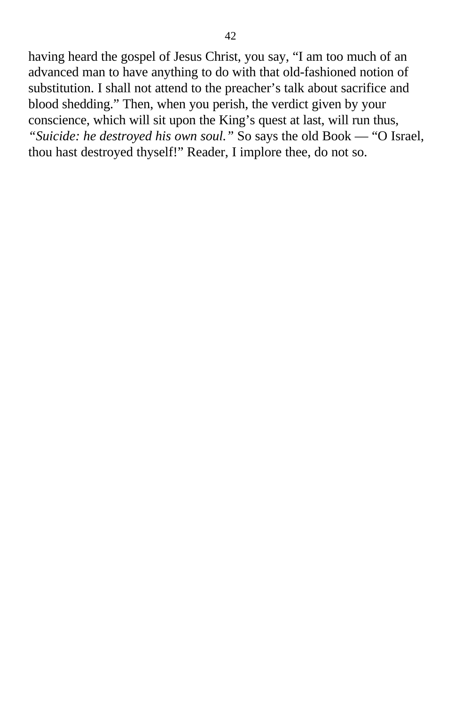having heard the gospel of Jesus Christ, you say, "I am too much of an advanced man to have anything to do with that old-fashioned notion of substitution. I shall not attend to the preacher's talk about sacrifice and blood shedding." Then, when you perish, the verdict given by your conscience, which will sit upon the King's quest at last, will run thus, *"Suicide: he destroyed his own soul."* So says the old Book — "O Israel, thou hast destroyed thyself!" Reader, I implore thee, do not so.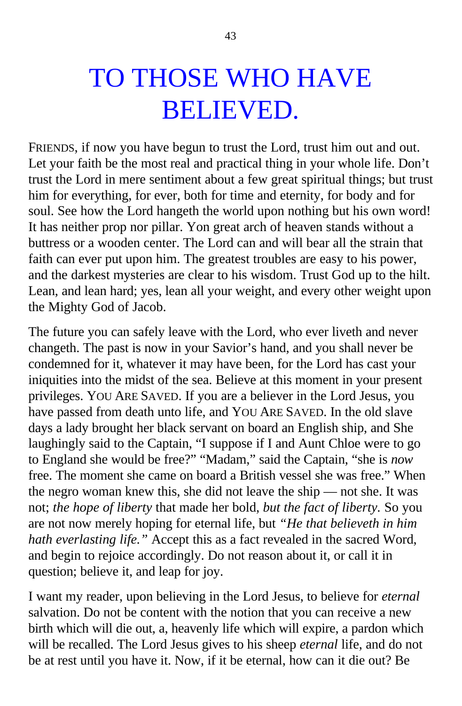## TO THOSE WHO HAVE BELIEVED.

FRIENDS, if now you have begun to trust the Lord, trust him out and out. Let your faith be the most real and practical thing in your whole life. Don't trust the Lord in mere sentiment about a few great spiritual things; but trust him for everything, for ever, both for time and eternity, for body and for soul. See how the Lord hangeth the world upon nothing but his own word! It has neither prop nor pillar. Yon great arch of heaven stands without a buttress or a wooden center. The Lord can and will bear all the strain that faith can ever put upon him. The greatest troubles are easy to his power, and the darkest mysteries are clear to his wisdom. Trust God up to the hilt. Lean, and lean hard; yes, lean all your weight, and every other weight upon the Mighty God of Jacob.

The future you can safely leave with the Lord, who ever liveth and never changeth. The past is now in your Savior's hand, and you shall never be condemned for it, whatever it may have been, for the Lord has cast your iniquities into the midst of the sea. Believe at this moment in your present privileges. YOU ARE SAVED. If you are a believer in the Lord Jesus, you have passed from death unto life, and YOU ARE SAVED. In the old slave days a lady brought her black servant on board an English ship, and She laughingly said to the Captain, "I suppose if I and Aunt Chloe were to go to England she would be free?" "Madam," said the Captain, "she is *now* free. The moment she came on board a British vessel she was free." When the negro woman knew this, she did not leave the ship — not she. It was not; *the hope of liberty* that made her bold, *but the fact of liberty.* So you are not now merely hoping for eternal life, but *"He that believeth in him hath everlasting life."* Accept this as a fact revealed in the sacred Word, and begin to rejoice accordingly. Do not reason about it, or call it in question; believe it, and leap for joy.

I want my reader, upon believing in the Lord Jesus, to believe for *eternal* salvation. Do not be content with the notion that you can receive a new birth which will die out, a, heavenly life which will expire, a pardon which will be recalled. The Lord Jesus gives to his sheep *eternal* life, and do not be at rest until you have it. Now, if it be eternal, how can it die out? Be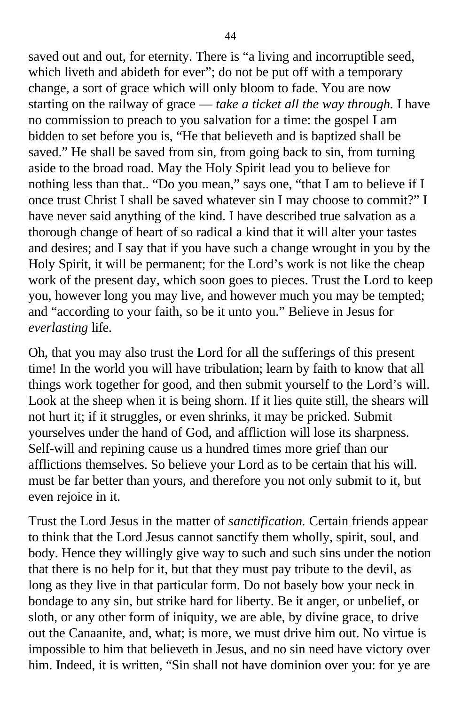saved out and out, for eternity. There is "a living and incorruptible seed, which liveth and abideth for ever"; do not be put off with a temporary change, a sort of grace which will only bloom to fade. You are now starting on the railway of grace — *take a ticket all the way through.* I have no commission to preach to you salvation for a time: the gospel I am bidden to set before you is, "He that believeth and is baptized shall be saved." He shall be saved from sin, from going back to sin, from turning aside to the broad road. May the Holy Spirit lead you to believe for nothing less than that.. "Do you mean," says one, "that I am to believe if I once trust Christ I shall be saved whatever sin I may choose to commit?" I have never said anything of the kind. I have described true salvation as a thorough change of heart of so radical a kind that it will alter your tastes and desires; and I say that if you have such a change wrought in you by the Holy Spirit, it will be permanent; for the Lord's work is not like the cheap work of the present day, which soon goes to pieces. Trust the Lord to keep you, however long you may live, and however much you may be tempted; and "according to your faith, so be it unto you." Believe in Jesus for *everlasting* life.

Oh, that you may also trust the Lord for all the sufferings of this present time! In the world you will have tribulation; learn by faith to know that all things work together for good, and then submit yourself to the Lord's will. Look at the sheep when it is being shorn. If it lies quite still, the shears will not hurt it; if it struggles, or even shrinks, it may be pricked. Submit yourselves under the hand of God, and affliction will lose its sharpness. Self-will and repining cause us a hundred times more grief than our afflictions themselves. So believe your Lord as to be certain that his will. must be far better than yours, and therefore you not only submit to it, but even rejoice in it.

Trust the Lord Jesus in the matter of *sanctification.* Certain friends appear to think that the Lord Jesus cannot sanctify them wholly, spirit, soul, and body. Hence they willingly give way to such and such sins under the notion that there is no help for it, but that they must pay tribute to the devil, as long as they live in that particular form. Do not basely bow your neck in bondage to any sin, but strike hard for liberty. Be it anger, or unbelief, or sloth, or any other form of iniquity, we are able, by divine grace, to drive out the Canaanite, and, what; is more, we must drive him out. No virtue is impossible to him that believeth in Jesus, and no sin need have victory over him. Indeed, it is written, "Sin shall not have dominion over you: for ye are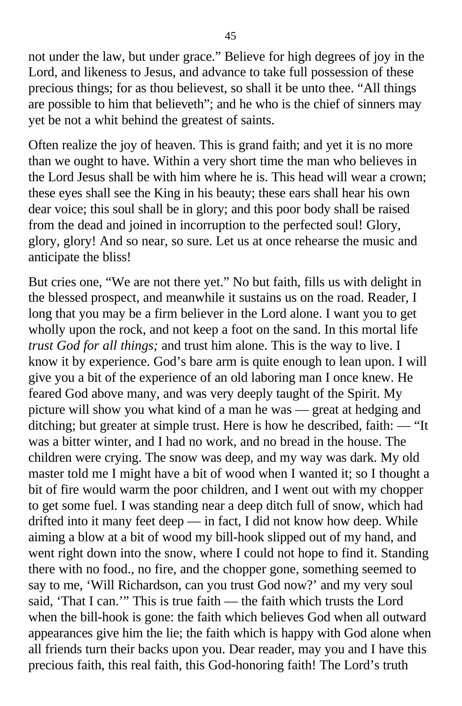not under the law, but under grace." Believe for high degrees of joy in the Lord, and likeness to Jesus, and advance to take full possession of these precious things; for as thou believest, so shall it be unto thee. "All things are possible to him that believeth"; and he who is the chief of sinners may yet be not a whit behind the greatest of saints.

Often realize the joy of heaven. This is grand faith; and yet it is no more than we ought to have. Within a very short time the man who believes in the Lord Jesus shall be with him where he is. This head will wear a crown; these eyes shall see the King in his beauty; these ears shall hear his own dear voice; this soul shall be in glory; and this poor body shall be raised from the dead and joined in incorruption to the perfected soul! Glory, glory, glory! And so near, so sure. Let us at once rehearse the music and anticipate the bliss!

But cries one, "We are not there yet." No but faith, fills us with delight in the blessed prospect, and meanwhile it sustains us on the road. Reader, I long that you may be a firm believer in the Lord alone. I want you to get wholly upon the rock, and not keep a foot on the sand. In this mortal life *trust God for all things;* and trust him alone. This is the way to live. I know it by experience. God's bare arm is quite enough to lean upon. I will give you a bit of the experience of an old laboring man I once knew. He feared God above many, and was very deeply taught of the Spirit. My picture will show you what kind of a man he was — great at hedging and ditching; but greater at simple trust. Here is how he described, faith: — "It was a bitter winter, and I had no work, and no bread in the house. The children were crying. The snow was deep, and my way was dark. My old master told me I might have a bit of wood when I wanted it; so I thought a bit of fire would warm the poor children, and I went out with my chopper to get some fuel. I was standing near a deep ditch full of snow, which had drifted into it many feet deep — in fact, I did not know how deep. While aiming a blow at a bit of wood my bill-hook slipped out of my hand, and went right down into the snow, where I could not hope to find it. Standing there with no food., no fire, and the chopper gone, something seemed to say to me, 'Will Richardson, can you trust God now?' and my very soul said, 'That I can.'" This is true faith — the faith which trusts the Lord when the bill-hook is gone: the faith which believes God when all outward appearances give him the lie; the faith which is happy with God alone when all friends turn their backs upon you. Dear reader, may you and I have this precious faith, this real faith, this God-honoring faith! The Lord's truth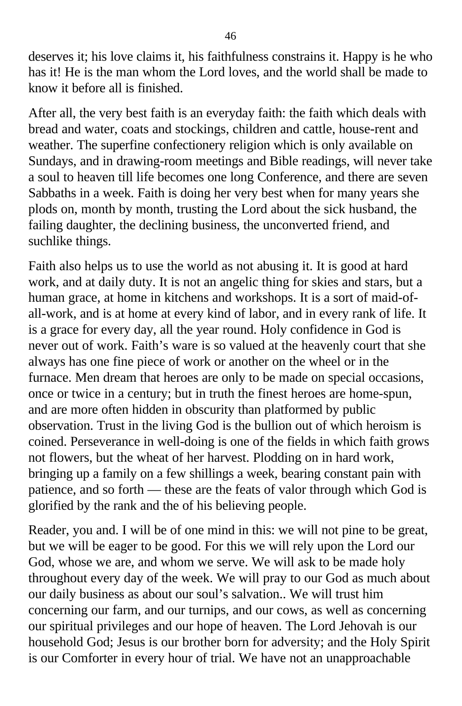deserves it; his love claims it, his faithfulness constrains it. Happy is he who has it! He is the man whom the Lord loves, and the world shall be made to know it before all is finished.

After all, the very best faith is an everyday faith: the faith which deals with bread and water, coats and stockings, children and cattle, house-rent and weather. The superfine confectionery religion which is only available on Sundays, and in drawing-room meetings and Bible readings, will never take a soul to heaven till life becomes one long Conference, and there are seven Sabbaths in a week. Faith is doing her very best when for many years she plods on, month by month, trusting the Lord about the sick husband, the failing daughter, the declining business, the unconverted friend, and suchlike things.

Faith also helps us to use the world as not abusing it. It is good at hard work, and at daily duty. It is not an angelic thing for skies and stars, but a human grace, at home in kitchens and workshops. It is a sort of maid-ofall-work, and is at home at every kind of labor, and in every rank of life. It is a grace for every day, all the year round. Holy confidence in God is never out of work. Faith's ware is so valued at the heavenly court that she always has one fine piece of work or another on the wheel or in the furnace. Men dream that heroes are only to be made on special occasions, once or twice in a century; but in truth the finest heroes are home-spun, and are more often hidden in obscurity than platformed by public observation. Trust in the living God is the bullion out of which heroism is coined. Perseverance in well-doing is one of the fields in which faith grows not flowers, but the wheat of her harvest. Plodding on in hard work, bringing up a family on a few shillings a week, bearing constant pain with patience, and so forth — these are the feats of valor through which God is glorified by the rank and the of his believing people.

Reader, you and. I will be of one mind in this: we will not pine to be great, but we will be eager to be good. For this we will rely upon the Lord our God, whose we are, and whom we serve. We will ask to be made holy throughout every day of the week. We will pray to our God as much about our daily business as about our soul's salvation.. We will trust him concerning our farm, and our turnips, and our cows, as well as concerning our spiritual privileges and our hope of heaven. The Lord Jehovah is our household God; Jesus is our brother born for adversity; and the Holy Spirit is our Comforter in every hour of trial. We have not an unapproachable